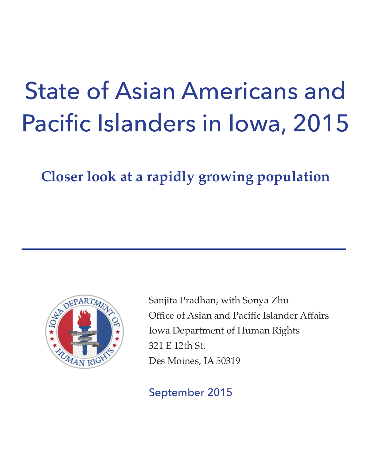# State of Asian Americans and Pacific Islanders in Iowa, 2015

**Closer look at a rapidly growing population**



Sanjita Pradhan, with Sonya Zhu Office of Asian and Pacific Islander Affairs Iowa Department of Human Rights 321 E 12th St. Des Moines, IA 50319

# September 2015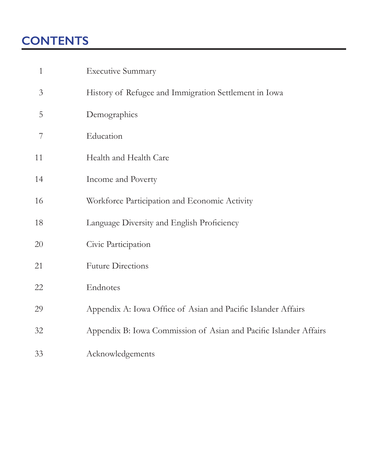# **CONTENTS**

| $\mathbf{1}$   | <b>Executive Summary</b>                                          |
|----------------|-------------------------------------------------------------------|
| $\mathfrak{Z}$ | History of Refugee and Immigration Settlement in Iowa             |
| 5              | Demographics                                                      |
| 7              | Education                                                         |
| 11             | Health and Health Care                                            |
| 14             | Income and Poverty                                                |
| 16             | Workforce Participation and Economic Activity                     |
| 18             | Language Diversity and English Proficiency                        |
| 20             | Civic Participation                                               |
| 21             | <b>Future Directions</b>                                          |
| 22             | Endnotes                                                          |
| 29             | Appendix A: Iowa Office of Asian and Pacific Islander Affairs     |
| 32             | Appendix B: Iowa Commission of Asian and Pacific Islander Affairs |
| 33             | Acknowledgements                                                  |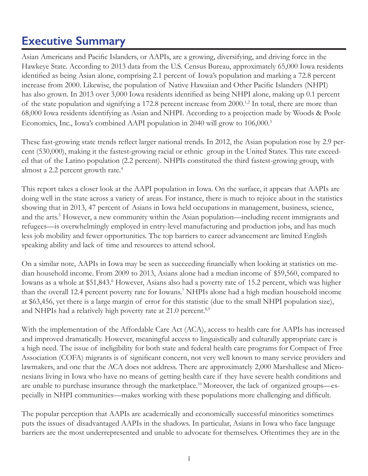# <span id="page-2-0"></span>**Executive Summary**

Asian Americans and Pacific Islanders, or AAPIs, are a growing, diversifying, and driving force in the Hawkeye State. According to 2013 data from the U.S. Census Bureau, approximately 65,000 Iowa residents identified as being Asian alone, comprising 2.1 percent of Iowa's population and marking a 72.8 percent increase from 2000. Likewise, the population of Native Hawaiian and Other Pacific Islanders (NHPI) has also grown. In 2013 over 3,000 Iowa residents identified as being NHPI alone, making up 0.1 percent of the state population and signifying a 172.8 percent increase from 2000.<sup>1,2</sup> In total, there are more than 68,000 Iowa residents identifying as Asian and NHPI. According to a projection made by Woods & Poole Economics, Inc., Iowa's combined AAPI population in 2040 will grow to 106,000.<sup>3</sup>

These fast-growing state trends reflect larger national trends. In 2012, the Asian population rose by 2.9 percent (530,000), making it the fastest-growing racial or ethnic group in the United States. This rate exceeded that of the Latino population (2.2 percent). NHPIs constituted the third fastest-growing group, with almost a 2.2 percent growth rate.<sup>4</sup>

This report takes a closer look at the AAPI population in Iowa. On the surface, it appears that AAPIs are doing well in the state across a variety of areas. For instance, there is much to rejoice about in the statistics showing that in 2013, 47 percent of Asians in Iowa held occupations in management, business, science, and the arts.<sup>5</sup> However, a new community within the Asian population—including recent immigrants and refugees—is overwhelmingly employed in entry-level manufacturing and production jobs, and has much less job mobility and fewer opportunities. The top barriers to career advancement are limited English speaking ability and lack of time and resources to attend school.

On a similar note, AAPIs in Iowa may be seen as succeeding financially when looking at statistics on median household income. From 2009 to 2013, Asians alone had a median income of \$59,560, compared to Iowans as a whole at \$51,843.<sup>6</sup> However, Asians also had a poverty rate of 15.2 percent, which was higher than the overall 12.4 percent poverty rate for Iowans.7 NHPIs alone had a high median household income at \$63,456, yet there is a large margin of error for this statistic (due to the small NHPI population size), and NHPIs had a relatively high poverty rate at 21.0 percent.<sup>8,9</sup>

With the implementation of the Affordable Care Act (ACA), access to health care for AAPIs has increased and improved dramatically. However, meaningful access to linguistically and culturally appropriate care is a high need. The issue of ineligibility for both state and federal health care programs for Compact of Free Association (COFA) migrants is of significant concern, not very well known to many service providers and lawmakers, and one that the ACA does not address. There are approximately 2,000 Marshallese and Micronesians living in Iowa who have no means of getting health care if they have severe health conditions and are unable to purchase insurance through the marketplace.<sup>10</sup>Moreover, the lack of organized groups—especially in NHPI communities—makes working with these populations more challenging and difficult.

The popular perception that AAPIs are academically and economically successful minorities sometimes puts the issues of disadvantaged AAPIs in the shadows. In particular, Asians in Iowa who face language barriers are the most underrepresented and unable to advocate for themselves. Oftentimes they are in the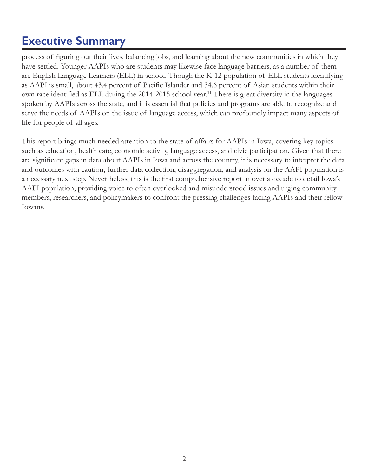# **Executive Summary**

process of figuring out their lives, balancing jobs, and learning about the new communities in which they have settled. Younger AAPIs who are students may likewise face language barriers, as a number of them are English Language Learners (ELL) in school. Though the K-12 population of ELL students identifying as AAPI is small, about 43.4 percent of Pacific Islander and 34.6 percent of Asian students within their own race identified as ELL during the 2014-2015 school year.<sup>11</sup> There is great diversity in the languages spoken by AAPIs across the state, and it is essential that policies and programs are able to recognize and serve the needs of AAPIs on the issue of language access, which can profoundly impact many aspects of life for people of all ages.

This report brings much needed attention to the state of affairs for AAPIs in Iowa, covering key topics such as education, health care, economic activity, language access, and civic participation. Given that there are significant gaps in data about AAPIs in Iowa and across the country, it is necessary to interpret the data and outcomes with caution; further data collection, disaggregation, and analysis on the AAPI population is a necessary next step. Nevertheless, this is the first comprehensive report in over a decade to detail Iowa's AAPI population, providing voice to often overlooked and misunderstood issues and urging community members, researchers, and policymakers to confront the pressing challenges facing AAPIs and their fellow Iowans.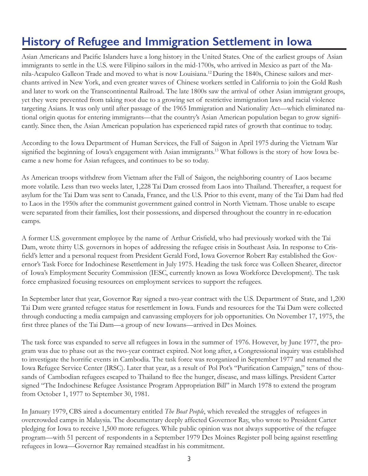# <span id="page-4-0"></span>**History of Refugee and Immigration Settlement in Iowa**

Asian Americans and Pacific Islanders have a long history in the United States. One of the earliest groups of Asian immigrants to settle in the U.S. were Filipino sailors in the mid-1700s, who arrived in Mexico as part of the Manila-Acapulco Galleon Trade and moved to what is now Louisiana.<sup>12</sup>During the 1840s, Chinese sailors and merchants arrived in New York, and even greater waves of Chinese workers settled in California to join the Gold Rush and later to work on the Transcontinental Railroad. The late 1800s saw the arrival of other Asian immigrant groups, yet they were prevented from taking root due to a growing set of restrictive immigration laws and racial violence targeting Asians. It was only until after passage of the 1965 Immigration and Nationality Act—which eliminated national origin quotas for entering immigrants—that the country's Asian American population began to grow significantly. Since then, the Asian American population has experienced rapid rates of growth that continue to today.

According to the Iowa Department of Human Services, the Fall of Saigon in April 1975 during the Vietnam War signified the beginning of Iowa's engagement with Asian immigrants.<sup>13</sup> What follows is the story of how Iowa became a new home for Asian refugees, and continues to be so today.

As American troops withdrew from Vietnam after the Fall of Saigon, the neighboring country of Laos became more volatile. Less than two weeks later, 1,228 Tai Dam crossed from Laos into Thailand. Thereafter, a request for asylum for the Tai Dam was sent to Canada, France, and the U.S. Prior to this event, many of the Tai Dam had fled to Laos in the 1950s after the communist government gained control in North Vietnam. Those unable to escape were separated from their families, lost their possessions, and dispersed throughout the country in re-education camps.

A former U.S. government employee by the name of Arthur Crisfield, who had previously worked with the Tai Dam, wrote thirty U.S. governors in hopes of addressing the refugee crisis in Southeast Asia. In response to Crisfield's letter and a personal request from President Gerald Ford, Iowa Governor Robert Ray established the Governor's Task Force for Indochinese Resettlement in July 1975. Heading the task force was Colleen Shearer, director of Iowa's Employment Security Commission (IESC, currently known as Iowa Workforce Development). The task force emphasized focusing resources on employment services to support the refugees.

In September later that year, Governor Ray signed a two-year contract with the U.S. Department of State, and 1,200 Tai Dam were granted refugee status for resettlement in Iowa. Funds and resources for the Tai Dam were collected through conducting a media campaign and canvassing employers for job opportunities. On November 17, 1975, the first three planes of the Tai Dam—a group of new Iowans—arrived in Des Moines.

The task force was expanded to serve all refugees in Iowa in the summer of 1976. However, by June 1977, the program was due to phase out as the two-year contract expired. Not long after, a Congressional inquiry was established to investigate the horrific events in Cambodia. The task force was reorganized in September 1977 and renamed the Iowa Refugee Service Center (IRSC). Later that year, as a result of Pol Pot's "Purification Campaign," tens of thousands of Cambodian refugees escaped to Thailand to flee the hunger, disease, and mass killings. President Carter signed "The Indochinese Refugee Assistance Program Appropriation Bill" in March 1978 to extend the program from October 1, 1977 to September 30, 1981.

In January 1979, CBS aired a documentary entitled *The Boat People*, which revealed the struggles of refugees in overcrowded camps in Malaysia. The documentary deeply affected Governor Ray, who wrote to President Carter pledging for Iowa to receive 1,500 more refugees. While public opinion was not always supportive of the refugee program—with 51 percent of respondents in a September 1979 Des Moines Register poll being against resettling refugees in Iowa—Governor Ray remained steadfast in his commitment.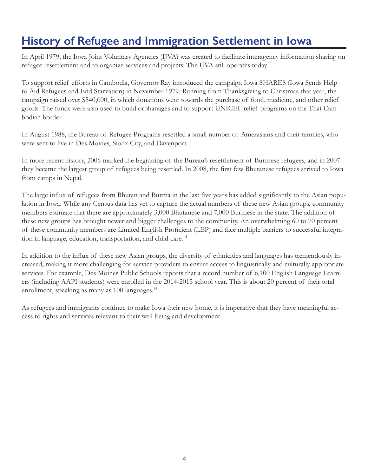# **History of Refugee and Immigration Settlement in Iowa**

In April 1979, the Iowa Joint Voluntary Agencies (IJVA) was created to facilitate interagency information sharing on refugee resettlement and to organize services and projects. The IJVA still operates today.

To support relief efforts in Cambodia, Governor Ray introduced the campaign Iowa SHARES (Iowa Sends Help to Aid Refugees and End Starvation) in November 1979. Running from Thanksgiving to Christmas that year, the campaign raised over \$540,000, in which donations went towards the purchase of food, medicine, and other relief goods. The funds were also used to build orphanages and to support UNICEF relief programs on the Thai-Cambodian border.

In August 1988, the Bureau of Refugee Programs resettled a small number of Amerasians and their families, who were sent to live in Des Moines, Sioux City, and Davenport.

In more recent history, 2006 marked the beginning of the Bureau's resettlement of Burmese refugees, and in 2007 they became the largest group of refugees being resettled. In 2008, the first few Bhutanese refugees arrived to Iowa from camps in Nepal.

The large influx of refugees from Bhutan and Burma in the last five years has added significantly to the Asian population in Iowa. While any Census data has yet to capture the actual numbers of these new Asian groups, community members estimate that there are approximately 3,000 Bhutanese and 7,000 Burmese in the state. The addition of these new groups has brought newer and bigger challenges to the community. An overwhelming 60 to 70 percent of these community members are Limited English Proficient (LEP) and face multiple barriers to successful integration in language, education, transportation, and child care.<sup>14</sup>

In addition to the influx of these new Asian groups, the diversity of ethnicities and languages has tremendously increased, making it more challenging for service providers to ensure access to linguistically and culturally appropriate services. For example, Des Moines Public Schools reports that a record number of 6,100 English Language Learners (including AAPI students) were enrolled in the 2014-2015 school year. This is about 20 percent of their total enrollment, speaking as many as 100 languages.<sup>15</sup>

As refugees and immigrants continue to make Iowa their new home, it is imperative that they have meaningful access to rights and services relevant to their well-being and development.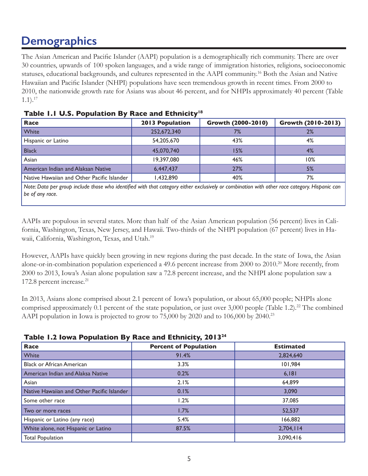# <span id="page-6-0"></span>**Demographics**

The Asian American and Pacific Islander (AAPI) population is a demographically rich community. There are over 30 countries, upwards of 100 spoken languages, and a wide range of immigration histories, religions, socioeconomic statuses, educational backgrounds, and cultures represented in the AAPI community.<sup>16</sup> Both the Asian and Native Hawaiian and Pacific Islander (NHPI) populations have seen tremendous growth in recent times. From 2000 to 2010, the nationwide growth rate for Asians was about 46 percent, and for NHPIs approximately 40 percent (Table  $1.1$ ).<sup>17</sup>

| Race                                       | <b>2013 Population</b> | Growth (2000-2010) | Growth (2010-2013) |
|--------------------------------------------|------------------------|--------------------|--------------------|
| White                                      | 252,672,340            | 7%                 | 2%                 |
| Hispanic or Latino                         | 54,205,670             | 43%                | 4%                 |
| <b>Black</b>                               | 45,070,740             | 15%                | 4%                 |
| Asian                                      | 19,397,080             | 46%                | 10%                |
| American Indian and Alaksan Native         | 6,447,437              | 27%                | 5%                 |
| Native Hawaiian and Other Pacific Islander | 1,432,890              | 40%                | 7%                 |

*Note: Data per group include those who identified with that category either exclusively or combination with other race category. Hispanic can be of any race.*

AAPIs are populous in several states. More than half of the Asian American population (56 percent) lives in California, Washington, Texas, New Jersey, and Hawaii. Two-thirds of the NHPI population (67 percent) lives in Hawaii, California, Washington, Texas, and Utah.<sup>19</sup>

However, AAPIs have quickly been growing in new regions during the past decade. In the state of Iowa, the Asian alone-or-in-combination population experienced a 49.6 percent increase from 2000 to 2010.<sup>20</sup> More recently, from 2000 to 2013, Iowa's Asian alone population saw a 72.8 percent increase, and the NHPI alone population saw a 172.8 percent increase.<sup>21</sup>

In 2013, Asians alone comprised about 2.1 percent of Iowa's population, or about 65,000 people; NHPIs alone comprised approximately 0.1 percent of the state population, or just over 3,000 people (Table 1.2).<sup>22</sup> The combined AAPI population in Iowa is projected to grow to 75,000 by 2020 and to 106,000 by 2040.<sup>23</sup>

|  |  | Table 1.2 Iowa Population By Race and Ethnicity, 2013 <sup>24</sup> |
|--|--|---------------------------------------------------------------------|
|--|--|---------------------------------------------------------------------|

| Race                                       | <b>Percent of Population</b> | <b>Estimated</b> |  |
|--------------------------------------------|------------------------------|------------------|--|
| White                                      | 91.4%                        | 2,824,640        |  |
| <b>Black or African American</b>           | 3.3%                         | 101,984          |  |
| American Indian and Alaksa Native          | 0.2%                         | 6,181            |  |
| Asian                                      | 2.1%                         | 64,899           |  |
| Native Hawaiian and Other Pacific Islander | 0.1%                         | 3,090            |  |
| Some other race                            | 1.2%                         | 37,085           |  |
| Two or more races                          | 1.7%                         | 52,537           |  |
| Hispanic or Latino (any race)              | 5.4%                         | 166,882          |  |
| White alone, not Hispanic or Latino        | 87.5%                        | 2,704,114        |  |
| <b>Total Population</b>                    |                              | 3,090,416        |  |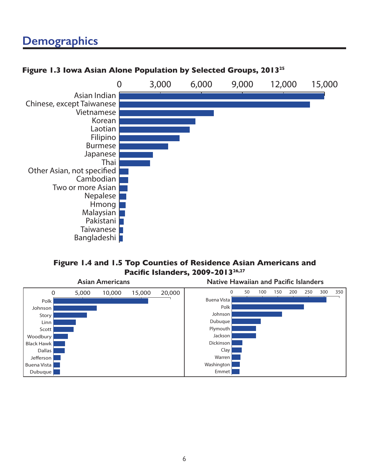# **Demographics**

#### 0 3,000 6,000 9,000 12,000 15,000 Bangladeshi Taiwanese Pakistani Malaysian Hmong Nepalese Two or more Asian Cambodian Other Asian, not specified Thai Japanese Burmese Filipino Laotian Korean Vietnamese Chinese, except Taiwanese Asian Indian

### **Figure 1.3 Iowa Asian Alone Population by Selected Groups, 201325**

#### **Figure 1.4 and 1.5 Top Counties of Residence Asian Americans and Pacific Islanders, 2009-201326,27**

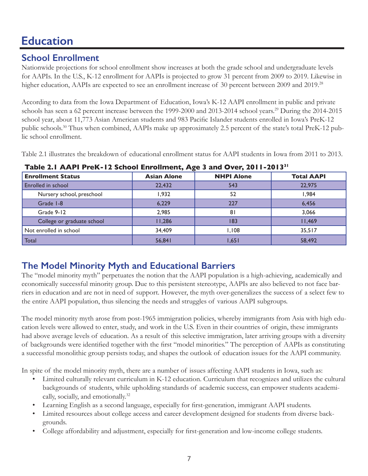### <span id="page-8-0"></span>**School Enrollment**

Nationwide projections for school enrollment show increases at both the grade school and undergraduate levels for AAPIs. In the U.S., K-12 enrollment for AAPIs is projected to grow 31 percent from 2009 to 2019. Likewise in higher education, AAPIs are expected to see an enrollment increase of 30 percent between 2009 and 2019.<sup>28</sup>

According to data from the Iowa Department of Education, Iowa's K-12 AAPI enrollment in public and private schools has seen a 62 percent increase between the 1999-2000 and 2013-2014 school years.<sup>29</sup> During the 2014-2015 school year, about 11,773 Asian American students and 983 Pacific Islander students enrolled in Iowa's PreK-12 public schools.<sup>30</sup> Thus when combined, AAPIs make up approximately 2.5 percent of the state's total PreK-12 public school enrollment.

Table 2.1 illustrates the breakdown of educational enrollment status for AAPI students in Iowa from 2011 to 2013.

| <b>Enrollment Status</b>   | <b>Asian Alone</b> | <b>NHPI Alone</b> | <b>Total AAPI</b> |  |
|----------------------------|--------------------|-------------------|-------------------|--|
| Enrolled in school         | 22,432             | 543               | 22,975            |  |
| Nursery school, preschool  | 1,932              | 52                | 1,984             |  |
| Grade I-8                  | 6.229              | 227               | 6,456             |  |
| Grade 9-12                 | 2,985              | 81                | 3,066             |  |
| College or graduate school | 11,286             | 183               | 11,469            |  |
| Not enrolled in school     | 34,409             | 1,108             | 35,517            |  |
| Total                      | 56,841             | 1,651             | 58,492            |  |

**Table 2.1 AAPI PreK-12 School Enrollment, Age 3 and Over, 2011-201331**

### **The Model Minority Myth and Educational Barriers**

The "model minority myth" perpetuates the notion that the AAPI population is a high-achieving, academically and economically successful minority group. Due to this persistent stereotype, AAPIs are also believed to not face barriers in education and are not in need of support. However, the myth over-generalizes the success of a select few to the entire AAPI population, thus silencing the needs and struggles of various AAPI subgroups.

The model minority myth arose from post-1965 immigration policies, whereby immigrants from Asia with high education levels were allowed to enter, study, and work in the U.S. Even in their countries of origin, these immigrants had above average levels of education. As a result of this selective immigration, later arriving groups with a diversity of backgrounds were identified together with the first "model minorities." The perception of AAPIs as constituting a successful monolithic group persists today, and shapes the outlook of education issues for the AAPI community.

In spite of the model minority myth, there are a number of issues affecting AAPI students in Iowa, such as:

- Limited culturally relevant curriculum in K-12 education. Curriculum that recognizes and utilizes the cultural backgrounds of students, while upholding standards of academic success, can empower students academically, socially, and emotionally.<sup>32</sup>
- Learning English as a second language, especially for first-generation, immigrant AAPI students.
- Limited resources about college access and career development designed for students from diverse backgrounds.
- College affordability and adjustment, especially for first-generation and low-income college students.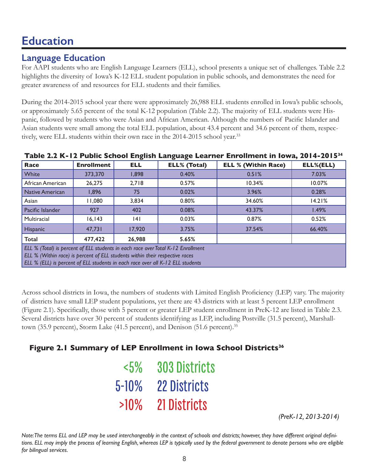### **Language Education**

For AAPI students who are English Language Learners (ELL), school presents a unique set of challenges. Table 2.2 highlights the diversity of Iowa's K-12 ELL student population in public schools, and demonstrates the need for greater awareness of and resources for ELL students and their families.

During the 2014-2015 school year there were approximately 26,988 ELL students enrolled in Iowa's public schools, or approximately 5.65 percent of the total K-12 population (Table 2.2). The majority of ELL students were Hispanic, followed by students who were Asian and African American. Although the numbers of Pacific Islander and Asian students were small among the total ELL population, about 43.4 percent and 34.6 percent of them, respectively, were ELL students within their own race in the 2014-2015 school year.<sup>33</sup>

| -<br>-                                                                                                                                                                                                                                             |                   |            |                     |                            |           |  |
|----------------------------------------------------------------------------------------------------------------------------------------------------------------------------------------------------------------------------------------------------|-------------------|------------|---------------------|----------------------------|-----------|--|
| Race                                                                                                                                                                                                                                               | <b>Enrollment</b> | <b>ELL</b> | <b>ELL% (Total)</b> | <b>ELL % (Within Race)</b> | ELL%(ELL) |  |
| White                                                                                                                                                                                                                                              | 373,370           | 1.898      | 0.40%               | 0.51%                      | 7.03%     |  |
| African American                                                                                                                                                                                                                                   | 26,275            | 2.718      | 0.57%               | 10.34%                     | 10.07%    |  |
| Native American                                                                                                                                                                                                                                    | 1,896             | 75         | 0.02%               | 3.96%                      | 0.28%     |  |
| Asian                                                                                                                                                                                                                                              | 11,080            | 3,834      | 0.80%               | 34.60%                     | 14.21%    |  |
| <b>Pacific Islander</b>                                                                                                                                                                                                                            | 927               | 402        | 0.08%               | 43.37%                     | 1.49%     |  |
| Multiracial                                                                                                                                                                                                                                        | 16, 143           | 14 I       | 0.03%               | 0.87%                      | 0.52%     |  |
| <b>Hispanic</b>                                                                                                                                                                                                                                    | 47.731            | 17,920     | 3.75%               | 37.54%                     | 66.40%    |  |
| 26,988<br>Total<br>477,422<br>5.65%                                                                                                                                                                                                                |                   |            |                     |                            |           |  |
| ELL % (Total) is percent of ELL students in each race over Total K-12 Enrollment<br>ELL % (Within race) is percent of ELL students within their respective races<br>ELL % (ELL) is percent of ELL students in each race over all K-12 ELL students |                   |            |                     |                            |           |  |

**Table 2.2 K-12 Public School English Language Learner Enrollment in Iowa, 2014-201534**

Across school districts in Iowa, the numbers of students with Limited English Proficiency (LEP) vary. The majority of districts have small LEP student populations, yet there are 43 districts with at least 5 percent LEP enrollment (Figure 2.1). Specifically, those with 5 percent or greater LEP student enrollment in PreK-12 are listed in Table 2.3. Several districts have over 30 percent of students identifying as LEP, including Postville (31.5 percent), Marshalltown (35.9 percent), Storm Lake (41.5 percent), and Denison (51.6 percent).<sup>35</sup>

### **Figure 2.1 Summary of LEP Enrollment in Iowa School Districts<sup>36</sup>**

| $<\!\!5\!\%$ | <b>303 Districts</b> |
|--------------|----------------------|
| $5 - 10\%$   | <b>22 Districts</b>  |
| $>10\%$      | 21 Districts         |

*(PreK-12, 2013-2014)*

*Note: The terms ELL and LEP may be used interchangeably in the context of schools and districts; however, they have different original defini*tions. ELL may imply the process of learning English, whereas LEP is typically used by the federal government to denote persons who are eligible *for bilingual services.*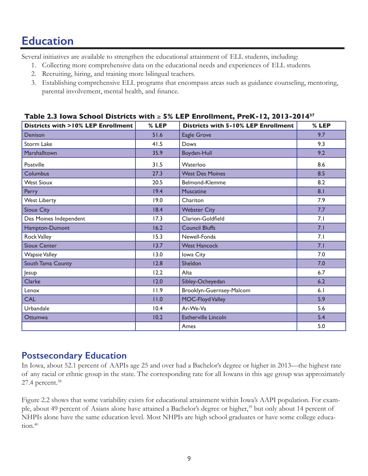Several initiatives are available to strengthen the educational attainment of ELL students, including:

- 1. Collecting more comprehensive data on the educational needs and experiences of ELL students.
- 2. Recruiting, hiring, and training more bilingual teachers.
- 3. Establishing comprehensive ELL programs that encompass areas such as guidance counseling, mentoring, parental involvement, mental health, and finance.

| <b>Districts with &gt;10% LEP Enrollment</b> | % LEP | <b>Districts with 5-10% LEP Enrollment</b> | % LEP |
|----------------------------------------------|-------|--------------------------------------------|-------|
| Denison                                      | 51.6  | Eagle Grove                                | 9.7   |
| <b>Storm Lake</b>                            | 41.5  | Dows                                       | 9.3   |
| Marshalltown                                 | 35.9  | Boyden-Hull                                | 9.2   |
| Postville                                    | 31.5  | Waterloo                                   | 8.6   |
| Columbus                                     | 27.3  | <b>West Des Moines</b>                     | 8.5   |
| <b>West Sioux</b>                            | 20.5  | Belmond-Klemme                             | 8.2   |
| Perry                                        | 19.4  | <b>Muscatine</b>                           | 8.1   |
| <b>West Liberty</b>                          | 19.0  | Chariton                                   | 7.9   |
| Sioux City                                   | 18.4  | <b>Webster City</b>                        | 7.7   |
| Des Moines Independent                       | 17.3  | Clarion-Goldfield                          | 7.1   |
| Hampton-Dumont                               | 16.2  | <b>Council Bluffs</b>                      | 7.1   |
| <b>Rock Valley</b>                           | 15.3  | Newell-Fonda                               | 7.1   |
| <b>Sioux Center</b>                          | 13.7  | <b>West Hancock</b>                        | 7.1   |
| <b>Wapsie Valley</b>                         | 13.0  | Iowa City                                  | 7.0   |
| South Tama County                            | 12.8  | Sheldon                                    | 7.0   |
| Jesup                                        | 12.2  | Alta                                       | 6.7   |
| Clarke                                       | 12.0  | Sibley-Ocheyedan                           | 6.2   |
| Lenox                                        | 11.9  | Brooklyn-Guernsey-Malcom                   | 6.1   |
| <b>CAL</b>                                   | 11.0  | MOC-Floyd Valley                           | 5.9   |
| Urbandale                                    | 10.4  | Ar-We-Va                                   | 5.6   |
| Ottumwa                                      | 10.2  | <b>Estherville Lincoln</b>                 | 5.4   |
|                                              |       | Ames                                       | 5.0   |

#### **Table 2.3 Iowa School Districts with** ≥ **5% LEP Enrollment, PreK-12, 2013-201437**

### **Postsecondary Education**

In Iowa, about 52.1 percent of AAPIs age 25 and over had a Bachelor's degree or higher in 2013—the highest rate of any racial or ethnic group in the state. The corresponding rate for all Iowans in this age group was approximately 27.4 percent.38

Figure 2.2 shows that some variability exists for educational attainment within Iowa's AAPI population. For example, about 49 percent of Asians alone have attained a Bachelor's degree or higher,<sup>39</sup> but only about 14 percent of NHPIs alone have the same education level. Most NHPIs are high school graduates or have some college education.<sup>40</sup>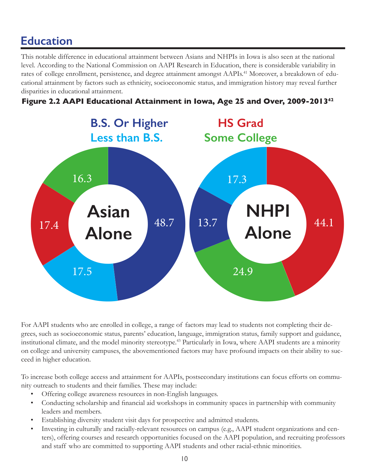This notable difference in educational attainment between Asians and NHPIs in Iowa is also seen at the national level. According to the National Commission on AAPI Research in Education, there is considerable variability in rates of college enrollment, persistence, and degree attainment amongst AAPIs.<sup>41</sup> Moreover, a breakdown of educational attainment by factors such as ethnicity, socioeconomic status, and immigration history may reveal further disparities in educational attainment.

### **Figure 2.2 AAPI Educational Attainment in Iowa, Age 25 and Over, 2009-2013<sup>42</sup>**



For AAPI students who are enrolled in college, a range of factors may lead to students not completing their degrees, such as socioeconomic status, parents' education, language, immigration status, family support and guidance, institutional climate, and the model minority stereotype.<sup>43</sup> Particularly in Iowa, where AAPI students are a minority on college and university campuses, the abovementioned factors may have profound impacts on their ability to succeed in higher education.

To increase both college access and attainment for AAPIs, postsecondary institutions can focus efforts on community outreach to students and their families. These may include:

- Offering college awareness resources in non-English languages.
- Conducting scholarship and financial aid workshops in community spaces in partnership with community leaders and members.
- Establishing diversity student visit days for prospective and admitted students.
- Investing in culturally and racially-relevant resources on campus (e.g., AAPI student organizations and centers), offering courses and research opportunities focused on the AAPI population, and recruiting professors and staff who are committed to supporting AAPI students and other racial-ethnic minorities.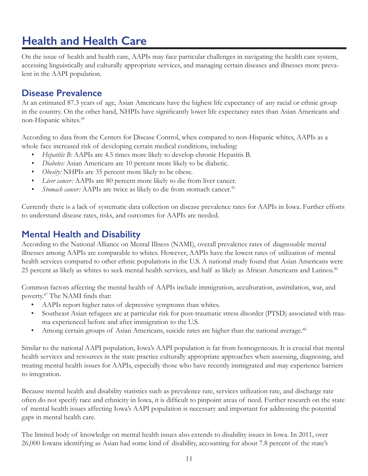# <span id="page-12-0"></span>**Health and Health Care**

On the issue of health and health care, AAPIs may face particular challenges in navigating the health care system, accessing linguistically and culturally appropriate services, and managing certain diseases and illnesses more prevalent in the AAPI population.

### **Disease Prevalence**

At an estimated 87.3 years of age, Asian Americans have the highest life expectancy of any racial or ethnic group in the country. On the other hand, NHPIs have significantly lower life expectancy rates than Asian Americans and non-Hispanic whites.<sup>44</sup>

According to data from the Centers for Disease Control, when compared to non-Hispanic whites, AAPIs as a whole face increased risk of developing certain medical conditions, including:

- *• Hepatitis B:* AAPIs are 4.5 times more likely to develop chronic Hepatitis B.
- *• Diabetes:* Asian Americans are 10 percent more likely to be diabetic.
- *• Obesity:* NHPIs are 35 percent more likely to be obese.
- *• Liver cancer:* AAPIs are 80 percent more likely to die from liver cancer.
- *Stomach cancer:* AAPIs are twice as likely to die from stomach cancer.<sup>45</sup>

Currently there is a lack of systematic data collection on disease prevalence rates for AAPIs in Iowa. Further efforts to understand disease rates, risks, and outcomes for AAPIs are needed.

### **Mental Health and Disability**

According to the National Alliance on Mental Illness (NAMI), overall prevalence rates of diagnosable mental illnesses among AAPIs are comparable to whites. However, AAPIs have the lowest rates of utilization of mental health services compared to other ethnic populations in the U.S. A national study found that Asian Americans were 25 percent as likely as whites to seek mental health services, and half as likely as African Americans and Latinos.<sup>46</sup>

Common factors affecting the mental health of AAPIs include immigration, acculturation, assimilation, war, and poverty.47 The NAMI finds that:

- AAPIs report higher rates of depressive symptoms than whites.
- Southeast Asian refugees are at particular risk for post-traumatic stress disorder (PTSD) associated with trauma experienced before and after immigration to the U.S.
- Among certain groups of Asian Americans, suicide rates are higher than the national average.<sup>48</sup>

Similar to the national AAPI population, Iowa's AAPI population is far from homogeneous. It is crucial that mental health services and resources in the state practice culturally appropriate approaches when assessing, diagnosing, and treating mental health issues for AAPIs, especially those who have recently immigrated and may experience barriers to integration.

Because mental health and disability statistics such as prevalence rate, services utilization rate, and discharge rate often do not specify race and ethnicity in Iowa, it is difficult to pinpoint areas of need. Further research on the state of mental health issues affecting Iowa's AAPI population is necessary and important for addressing the potential gaps in mental health care.

The limited body of knowledge on mental health issues also extends to disability issues in Iowa. In 2011, over 26,000 Iowans identifying as Asian had some kind of disability, accounting for about 7.8 percent of the state's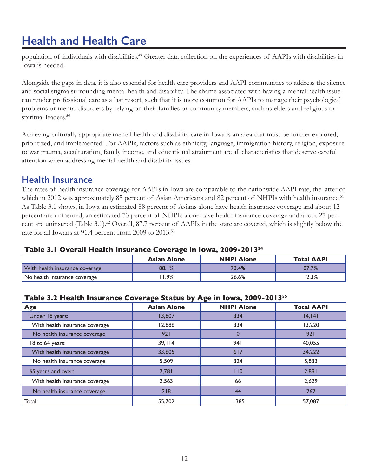# **Health and Health Care**

population of individuals with disabilities.<sup>49</sup> Greater data collection on the experiences of AAPIs with disabilities in Iowa is needed.

Alongside the gaps in data, it is also essential for health care providers and AAPI communities to address the silence and social stigma surrounding mental health and disability. The shame associated with having a mental health issue can render professional care as a last resort, such that it is more common for AAPIs to manage their psychological problems or mental disorders by relying on their families or community members, such as elders and religious or spiritual leaders.<sup>50</sup>

Achieving culturally appropriate mental health and disability care in Iowa is an area that must be further explored, prioritized, and implemented. For AAPIs, factors such as ethnicity, language, immigration history, religion, exposure to war trauma, acculturation, family income, and educational attainment are all characteristics that deserve careful attention when addressing mental health and disability issues.

### **Health Insurance**

The rates of health insurance coverage for AAPIs in Iowa are comparable to the nationwide AAPI rate, the latter of which in 2012 was approximately 85 percent of Asian Americans and 82 percent of NHPIs with health insurance.<sup>51</sup> As Table 3.1 shows, in Iowa an estimated 88 percent of Asians alone have health insurance coverage and about 12 percent are uninsured; an estimated 73 percent of NHPIs alone have health insurance coverage and about 27 percent are uninsured (Table 3.1).<sup>52</sup> Overall, 87.7 percent of AAPIs in the state are covered, which is slightly below the rate for all Iowans at 91.4 percent from 2009 to 2013.<sup>53</sup>

#### **Table 3.1 Overall Health Insurance Coverage in Iowa, 2009-2013<sup>54</sup>**

|                                | <b>Asian Alone</b> | <b>NHPI Alone</b> | <b>Total AAPI</b> |
|--------------------------------|--------------------|-------------------|-------------------|
| With health insurance coverage | 88.1%              | 73.4%             | 87.7%             |
| No health insurance coverage   | 1.9%               | 26.6%             | 2.3%              |

#### **Table 3.2 Health Insurance Coverage Status by Age in Iowa, 2009-2013<sup>55</sup>**

| Age                            | <b>Asian Alone</b> | <b>NHPI Alone</b> | <b>Total AAPI</b> |
|--------------------------------|--------------------|-------------------|-------------------|
| Under 18 years:                | 13,807             | 334               | 14, 141           |
| With health insurance coverage | 12,886             | 334               | 13,220            |
| No health insurance coverage   | 921                | $\Omega$          | 921               |
| 18 to 64 years:                | 39,114             | 94 I              | 40,055            |
| With health insurance coverage | 33,605             | 617               | 34,222            |
| No health insurance coverage   | 5,509              | 324               | 5,833             |
| 65 years and over:             | 2,781              | 110               | 2,891             |
| With health insurance coverage | 2,563              | 66                | 2,629             |
| No health insurance coverage   | 218                | 44                | 262               |
| Total                          | 55,702             | 1,385             | 57,087            |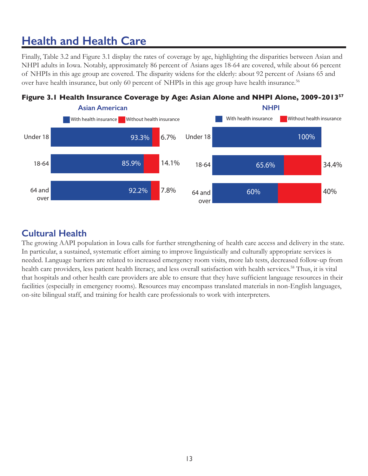# **Health and Health Care**

Finally, Table 3.2 and Figure 3.1 display the rates of coverage by age, highlighting the disparities between Asian and NHPI adults in Iowa. Notably, approximately 86 percent of Asians ages 18-64 are covered, while about 66 percent of NHPIs in this age group are covered. The disparity widens for the elderly: about 92 percent of Asians 65 and over have health insurance, but only 60 percent of NHPIs in this age group have health insurance.<sup>56</sup>



### **Cultural Health**

The growing AAPI population in Iowa calls for further strengthening of health care access and delivery in the state. In particular, a sustained, systematic effort aiming to improve linguistically and culturally appropriate services is needed. Language barriers are related to increased emergency room visits, more lab tests, decreased follow-up from health care providers, less patient health literacy, and less overall satisfaction with health services.<sup>58</sup> Thus, it is vital that hospitals and other health care providers are able to ensure that they have sufficient language resources in their facilities (especially in emergency rooms). Resources may encompass translated materials in non-English languages, on-site bilingual staff, and training for health care professionals to work with interpreters.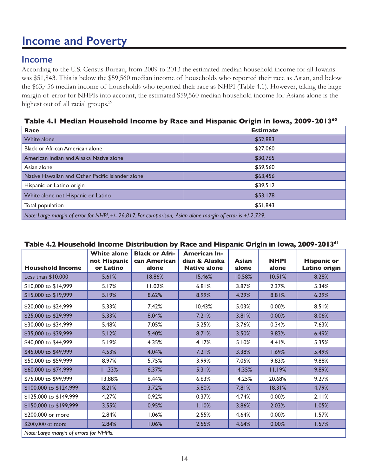# <span id="page-15-0"></span>**Income and Poverty**

### **Income**

According to the U.S. Census Bureau, from 2009 to 2013 the estimated median household income for all Iowans was \$51,843. This is below the \$59,560 median income of households who reported their race as Asian, and below the \$63,456 median income of households who reported their race as NHPI (Table 4.1). However, taking the large margin of error for NHPIs into account, the estimated \$59,560 median household income for Asians alone is the highest out of all racial groups.<sup>59</sup>

#### **Table 4.1 Median Household Income by Race and Hispanic Origin in Iowa, 2009-2013<sup>60</sup>**

| <b>Race</b>                                                                                                | <b>Estimate</b> |  |
|------------------------------------------------------------------------------------------------------------|-----------------|--|
| White alone                                                                                                | \$52,883        |  |
| Black or African American alone                                                                            | \$27,060        |  |
| American Indian and Alaska Native alone                                                                    | \$30,765        |  |
| Asian alone                                                                                                | \$59,560        |  |
| Native Hawaiian and Other Pacific Islander alone                                                           | \$63,456        |  |
| Hispanic or Latino origin                                                                                  | \$39,512        |  |
| White alone not Hispanic or Latino                                                                         | \$53,178        |  |
| Total population                                                                                           | \$51,843        |  |
| Note: Large margin of error for NHPI, +/- 26,817. For comparison, Asian alone margin of error is +/-2,729. |                 |  |

#### **Table 4.2 Household Income Distribution by Race and Hispanic Origin in Iowa, 2009-2013<sup>61</sup>**

|                                         | <b>White alone</b><br>not Hispanic | <b>Black or Afri-</b><br>can American | <b>American In-</b><br>dian & Alaska | <b>Asian</b> | <b>NHPI</b> | <b>Hispanic or</b> |
|-----------------------------------------|------------------------------------|---------------------------------------|--------------------------------------|--------------|-------------|--------------------|
| <b>Household Income</b>                 | or Latino                          | alone                                 | <b>Native alone</b>                  | alone        | alone       | Latino origin      |
| Less than $$10,000$                     | 5.61%                              | 18.86%                                | 15.46%                               | 10.58%       | 10.51%      | 8.28%              |
| \$10,000 to \$14,999                    | 5.17%                              | 11.02%                                | 6.81%                                | 3.87%        | 2.37%       | 5.34%              |
| \$15,000 to \$19,999                    | 5.19%                              | 8.62%                                 | 8.99%                                | 4.29%        | 8.81%       | 6.29%              |
| \$20,000 to \$24,999                    | 5.33%                              | 7.42%                                 | 10.43%                               | 5.03%        | 0.00%       | 8.51%              |
| \$25,000 to \$29,999                    | 5.33%                              | 8.04%                                 | 7.21%                                | 3.81%        | 0.00%       | 8.06%              |
| \$30,000 to \$34,999                    | 5.48%                              | 7.05%                                 | 5.25%                                | 3.76%        | 0.34%       | 7.63%              |
| \$35,000 to \$39,999                    | 5.12%                              | 5.40%                                 | 8.71%                                | 3.50%        | 9.83%       | 6.49%              |
| \$40,000 to \$44,999                    | 5.19%                              | 4.35%                                 | 4.17%                                | 5.10%        | 4.41%       | 5.35%              |
| \$45,000 to \$49,999                    | 4.53%                              | 4.04%                                 | 7.21%                                | 3.38%        | 1.69%       | 5.49%              |
| \$50,000 to \$59,999                    | 8.97%                              | 5.75%                                 | 3.99%                                | 7.05%        | 9.83%       | 9.88%              |
| \$60,000 to \$74,999                    | 11.33%                             | 6.37%                                 | 5.31%                                | 14.35%       | 11.19%      | 9.89%              |
| \$75,000 to \$99,999                    | 13.88%                             | 6.44%                                 | 6.63%                                | 14.25%       | 20.68%      | 9.27%              |
| \$100,000 to \$124,999                  | 8.21%                              | 3.72%                                 | 5.80%                                | 7.81%        | 18.31%      | 4.79%              |
| \$125,000 to \$149,999                  | 4.27%                              | 0.92%                                 | 0.37%                                | 4.74%        | 0.00%       | 2.11%              |
| \$150,000 to \$199,999                  | 3.55%                              | 0.95%                                 | 1.10%                                | 3.86%        | 2.03%       | 1.05%              |
| \$200,000 or more                       | 2.84%                              | 1.06%                                 | 2.55%                                | 4.64%        | 0.00%       | 1.57%              |
| \$200,000 or more                       | 2.84%                              | 1.06%                                 | 2.55%                                | 4.64%        | 0.00%       | 1.57%              |
| Note: Large margin of errors for NHPIs. |                                    |                                       |                                      |              |             |                    |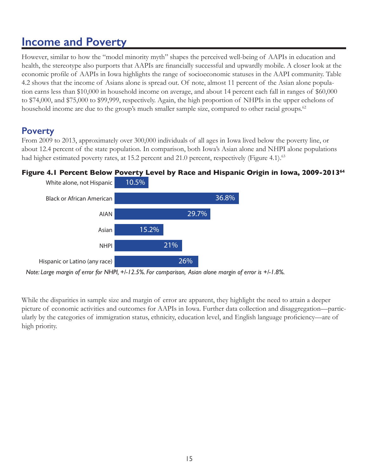# **Income and Poverty**

However, similar to how the "model minority myth" shapes the perceived well-being of AAPIs in education and health, the stereotype also purports that AAPIs are financially successful and upwardly mobile. A closer look at the economic profile of AAPIs in Iowa highlights the range of socioeconomic statuses in the AAPI community. Table 4.2 shows that the income of Asians alone is spread out. Of note, almost 11 percent of the Asian alone population earns less than \$10,000 in household income on average, and about 14 percent each fall in ranges of \$60,000 to \$74,000, and \$75,000 to \$99,999, respectively. Again, the high proportion of NHPIs in the upper echelons of household income are due to the group's much smaller sample size, compared to other racial groups.<sup>62</sup>

### **Poverty**

From 2009 to 2013, approximately over 300,000 individuals of all ages in Iowa lived below the poverty line, or about 12.4 percent of the state population. In comparison, both Iowa's Asian alone and NHPI alone populations had higher estimated poverty rates, at 15.2 percent and 21.0 percent, respectively (Figure 4.1).<sup>63</sup>



### **Figure 4.1 Percent Below Poverty Level by Race and Hispanic Origin in Iowa, 2009-2013<sup>64</sup>**

While the disparities in sample size and margin of error are apparent, they highlight the need to attain a deeper picture of economic activities and outcomes for AAPIs in Iowa. Further data collection and disaggregation—particularly by the categories of immigration status, ethnicity, education level, and English language proficiency—are of high priority.

*Note: Large margin of error for NHPI, +/-12.5%. For comparison, Asian alone margin of error is +/-1.8%.*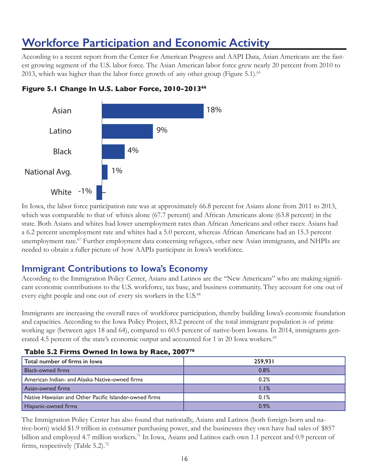# <span id="page-17-0"></span>**Workforce Participation and Economic Activity**

According to a recent report from the Center for American Progress and AAPI Data, Asian Americans are the fastest growing segment of the U.S. labor force. The Asian American labor force grew nearly 20 percent from 2010 to 2013, which was higher than the labor force growth of any other group (Figure 5.1).<sup>65</sup>



#### **Figure 5.1 Change In U.S. Labor Force, 2010-201366**

In Iowa, the labor force participation rate was at approximately 66.8 percent for Asians alone from 2011 to 2013, which was comparable to that of whites alone (67.7 percent) and African Americans alone (63.8 percent) in the state. Both Asians and whites had lower unemployment rates than African Americans and other races: Asians had a 6.2 percent unemployment rate and whites had a 5.0 percent, whereas African Americans had an 15.3 percent unemployment rate.<sup>67</sup> Further employment data concerning refugees, other new Asian immigrants, and NHPIs are needed to obtain a fuller picture of how AAPIs participate in Iowa's workforce.

### **Immigrant Contributions to Iowa's Economy**

According to the Immigration Policy Center, Asians and Latinos are the "New Americans" who are making significant economic contributions to the U.S. workforce, tax base, and business community. They account for one out of every eight people and one out of every six workers in the U.S.<sup>68</sup>

Immigrants are increasing the overall rates of workforce participation, thereby building Iowa's economic foundation and capacities. According to the Iowa Policy Project, 83.2 percent of the total immigrant population is of prime working age (between ages 18 and 64), compared to 60.5 percent of native-born Iowans. In 2014, immigrants generated 4.5 percent of the state's economic output and accounted for 1 in 20 Iowa workers.<sup>69</sup>

| Total number of firms in lowa                          | 259,931 |  |  |
|--------------------------------------------------------|---------|--|--|
| <b>Black-owned firms</b>                               | 0.8%    |  |  |
| American Indian- and Alaska Native-owned firms         | 0.2%    |  |  |
| Asian-owned firms                                      | 1.1%    |  |  |
| Native Hawaiian and Other Pacific Islander-owned firms | 0.1%    |  |  |
| <b>Hispanic-owned firms</b>                            | 0.9%    |  |  |

#### **Table 5.2 Firms Owned In Iowa by Race, 200770**

The Immigration Policy Center has also found that nationally, Asians and Latinos (both foreign-born and native-born) wield \$1.9 trillion in consumer purchasing power, and the businesses they own have had sales of \$857 billion and employed 4.7 million workers.<sup>71</sup> In Iowa, Asians and Latinos each own 1.1 percent and 0.9 percent of firms, respectively (Table 5.2).<sup>72</sup>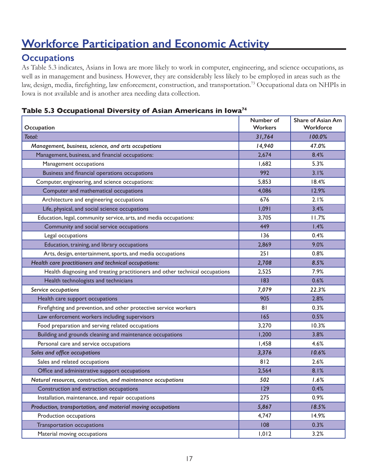# **Workforce Participation and Economic Activity**

### **Occupations**

As Table 5.3 indicates, Asians in Iowa are more likely to work in computer, engineering, and science occupations, as well as in management and business. However, they are considerably less likely to be employed in areas such as the law, design, media, firefighting, law enforcement, construction, and transportation.<sup>73</sup> Occupational data on NHPIs in Iowa is not available and is another area needing data collection.

#### **Table 5.3 Occupational Diversity of Asian Americans in Iowa74**

| Occupation                                                                   | Number of<br><b>Workers</b> | Share of Asian Am<br>Workforce |
|------------------------------------------------------------------------------|-----------------------------|--------------------------------|
| <b>Total:</b>                                                                | 31,764                      | 100.0%                         |
| Management, business, science, and arts occupations                          | 14,940                      | 47.0%                          |
| Management, business, and financial occupations:                             | 2,674                       | 8.4%                           |
| Management occupations                                                       | 1,682                       | 5.3%                           |
| Business and financial operations occupations                                | 992                         | 3.1%                           |
| Computer, engineering, and science occupations:                              | 5,853                       | 18.4%                          |
| Computer and mathematical occupations                                        | 4,086                       | 12.9%                          |
| Architecture and engineering occupations                                     | 676                         | 2.1%                           |
| Life, physical, and social science occupations                               | 1,091                       | 3.4%                           |
| Education, legal, community service, arts, and media occupations:            | 3,705                       | 11.7%                          |
| Community and social service occupations                                     | 449                         | 1.4%                           |
| Legal occupations                                                            | 136                         | 0.4%                           |
| Education, training, and library occupations                                 | 2,869                       | 9.0%                           |
| Arts, design, entertainment, sports, and media occupations                   | 251                         | 0.8%                           |
| Health care practitioners and technical occupations:                         | 2,708                       | 8.5%                           |
| Health diagnosing and treating practitioners and other technical occupations | 2,525                       | 7.9%                           |
| Health technologists and technicians                                         | 183                         | 0.6%                           |
| Service occupations                                                          | 7,079                       | 22.3%                          |
| Health care support occupations                                              | 905                         | 2.8%                           |
| Firefighting and prevention, and other protective service workers            | 81                          | 0.3%                           |
| Law enforcement workers including supervisors                                | 165                         | 0.5%                           |
| Food preparation and serving related occupations                             | 3,270                       | 10.3%                          |
| Building and grounds cleaning and maintenance occupations                    | 1,200                       | 3.8%                           |
| Personal care and service occupations                                        | 1,458                       | 4.6%                           |
| Sales and office occupations                                                 | 3,376                       | 10.6%                          |
| Sales and related occupations                                                | 812                         | 2.6%                           |
| Office and administrative support occupations                                | 2,564                       | 8.1%                           |
| Natural resources, construction, and maintenance occupations                 | 502                         | 1.6%                           |
| Construction and extraction occupations                                      | 129                         | 0.4%                           |
| Installation, maintenance, and repair occupations                            | 275                         | 0.9%                           |
| Production, transportation, and material moving occupations                  | 5,867                       | 18.5%                          |
| Production occupations                                                       | 4,747                       | 14.9%                          |
| Transportation occupations                                                   | 108                         | 0.3%                           |
| Material moving occupations                                                  | 1,012                       | 3.2%                           |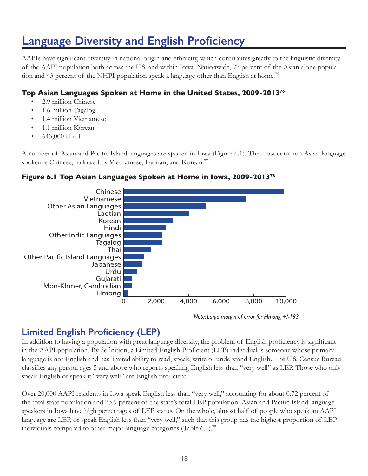# <span id="page-19-0"></span>**Language Diversity and English Proficiency**

AAPIs have significant diversity in national origin and ethnicity, which contributes greatly to the linguistic diversity of the AAPI population both across the U.S. and within Iowa. Nationwide, 77 percent of the Asian alone population and 43 percent of the NHPI population speak a language other than English at home.<sup>75</sup>

#### **Top Asian Languages Spoken at Home in the United States, 2009-2013<sup>76</sup>**

- 2.9 million Chinese
- 1.6 million Tagalog
- 1.4 million Vietnamese
- 1.1 million Korean
- 643,000 Hindi

A number of Asian and Pacific Island languages are spoken in Iowa (Figure 6.1). The most common Asian language spoken is Chinese, followed by Vietnamese, Laotian, and Korean.<sup>77</sup>

#### **Figure 6.1 Top Asian Languages Spoken at Home in Iowa, 2009-2013<sup>78</sup>**



*Note: Large margin of error for Hmong, +/-193.*

### **Limited English Proficiency (LEP)**

In addition to having a population with great language diversity, the problem of English proficiency is significant in the AAPI population. By definition, a Limited English Proficient (LEP) individual is someone whose primary language is not English and has limited ability to read, speak, write or understand English. The U.S. Census Bureau classifies any person ages 5 and above who reports speaking English less than "very well" as LEP. Those who only speak English or speak it "very well" are English proficient.

Over 20,000 AAPI residents in Iowa speak English less than "very well," accounting for about 0.72 percent of the total state population and 23.9 percent of the state's total LEP population. Asian and Pacific Island language speakers in Iowa have high percentages of LEP status. On the whole, almost half of people who speak an AAPI language are LEP, or speak English less than "very well," such that this group has the highest proportion of LEP individuals compared to other major language categories (Table 6.1).<sup>79</sup>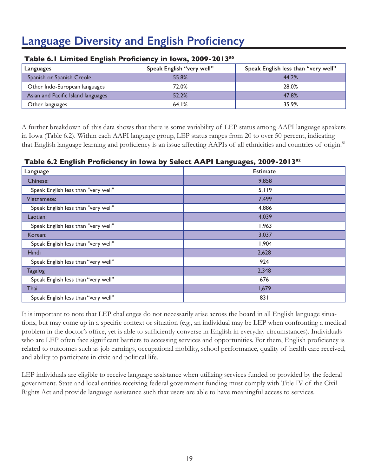# **Language Diversity and English Proficiency**

| Languages                          | Speak English "very well" | Speak English less than "very well" |  |
|------------------------------------|---------------------------|-------------------------------------|--|
| Spanish or Spanish Creole          | 55.8%                     | 44.2%                               |  |
| Other Indo-European languages      | 72.0%                     | 28.0%                               |  |
| Asian and Pacific Island languages | 52.2%                     | 47.8%                               |  |
| Other languages                    | 64.1%                     | 35.9%                               |  |

#### **Table 6.1 Limited English Proficiency in Iowa, 2009-2013<sup>80</sup>**

A further breakdown of this data shows that there is some variability of LEP status among AAPI language speakers in Iowa (Table 6.2). Within each AAPI language group, LEP status ranges from 20 to over 50 percent, indicating that English language learning and proficiency is an issue affecting AAPIs of all ethnicities and countries of origin.<sup>81</sup>

#### **Table 6.2 English Proficiency in Iowa by Select AAPI Languages, 2009-2013<sup>82</sup>**

| o<br>$\mathbf{z}$<br>$\mathbf{r}$   | o<br>o          |  |  |
|-------------------------------------|-----------------|--|--|
| Language                            | <b>Estimate</b> |  |  |
| Chinese:                            | 9,858           |  |  |
| Speak English less than "very well" | 5,119           |  |  |
| Vietnamese:                         | 7,499           |  |  |
| Speak English less than "very well" | 4,886           |  |  |
| Laotian:                            | 4,039           |  |  |
| Speak English less than "very well" | 1,963           |  |  |
| Korean:                             | 3,037           |  |  |
| Speak English less than "very well" | 1,904           |  |  |
| Hindi                               | 2,628           |  |  |
| Speak English less than "very well" | 924             |  |  |
| <b>Tagalog</b>                      | 2,348           |  |  |
| Speak English less than "very well" | 676             |  |  |
| Thai                                | 1,679           |  |  |
| Speak English less than "very well" | 831             |  |  |

It is important to note that LEP challenges do not necessarily arise across the board in all English language situations, but may come up in a specific context or situation (e.g., an individual may be LEP when confronting a medical problem in the doctor's office, yet is able to sufficiently converse in English in everyday circumstances). Individuals who are LEP often face significant barriers to accessing services and opportunities. For them, English proficiency is related to outcomes such as job earnings, occupational mobility, school performance, quality of health care received, and ability to participate in civic and political life.

LEP individuals are eligible to receive language assistance when utilizing services funded or provided by the federal government. State and local entities receiving federal government funding must comply with Title IV of the Civil Rights Act and provide language assistance such that users are able to have meaningful access to services.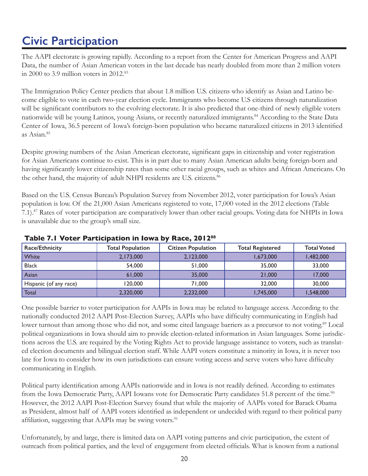# <span id="page-21-0"></span>**Civic Participation**

The AAPI electorate is growing rapidly. According to a report from the Center for American Progress and AAPI Data, the number of Asian American voters in the last decade has nearly doubled from more than 2 million voters in 2000 to 3.9 million voters in  $2012<sup>83</sup>$ 

The Immigration Policy Center predicts that about 1.8 million U.S. citizens who identify as Asian and Latino become eligible to vote in each two-year election cycle. Immigrants who become U.S citizens through naturalization will be significant contributors to the evolving electorate. It is also predicted that one-third of newly eligible voters nationwide will be young Latinos, young Asians, or recently naturalized immigrants.<sup>84</sup> According to the State Data Center of Iowa, 36.5 percent of Iowa's foreign-born population who became naturalized citizens in 2013 identified as Asian.85

Despite growing numbers of the Asian American electorate, significant gaps in citizenship and voter registration for Asian Americans continue to exist. This is in part due to many Asian American adults being foreign-born and having significantly lower citizenship rates than some other racial groups, such as whites and African Americans. On the other hand, the majority of adult NHPI residents are U.S. citizens.<sup>86</sup>

Based on the U.S. Census Bureau's Population Survey from November 2012, voter participation for Iowa's Asian population is low. Of the 21,000 Asian Americans registered to vote, 17,000 voted in the 2012 elections (Table 7.1).<sup>87</sup> Rates of voter participation are comparatively lower than other racial groups. Voting data for NHPIs in Iowa is unavailable due to the group's small size.

| <b>Race/Ethnicity</b>  | <b>Total Population</b> | <b>Citizen Population</b> | <b>Total Registered</b> | <b>Total Voted</b> |
|------------------------|-------------------------|---------------------------|-------------------------|--------------------|
| <b>White</b>           | 2,173,000               | 2,123,000                 | 1,673,000               | 1.482.000          |
| <b>Black</b>           | 54,000                  | 51,000                    | 35,000                  | 33,000             |
| Asian                  | 61,000                  | 35,000                    | 21,000                  | 17,000             |
| Hispanic (of any race) | 120,000                 | 71.000                    | 32,000                  | 30,000             |
| Total                  | 2,320,000               | 2,232,000                 | 1,745,000               | 1,548,000          |

#### **Table 7.1 Voter Participation in Iowa by Race, 201288**

One possible barrier to voter participation for AAPIs in Iowa may be related to language access. According to the nationally conducted 2012 AAPI Post-Election Survey, AAPIs who have difficulty communicating in English had lower turnout than among those who did not, and some cited language barriers as a precursor to not voting.<sup>89</sup> Local political organizations in Iowa should aim to provide election-related information in Asian languages. Some jurisdictions across the U.S. are required by the Voting Rights Act to provide language assistance to voters, such as translated election documents and bilingual election staff. While AAPI voters constitute a minority in Iowa, it is never too late for Iowa to consider how its own jurisdictions can ensure voting access and serve voters who have difficulty communicating in English.

Political party identification among AAPIs nationwide and in Iowa is not readily defined. According to estimates from the Iowa Democratic Party, AAPI Iowans vote for Democratic Party candidates 51.8 percent of the time.<sup>90</sup> However, the 2012 AAPI Post-Election Survey found that while the majority of AAPIs voted for Barack Obama as President, almost half of AAPI voters identified as independent or undecided with regard to their political party affiliation, suggesting that AAPIs may be swing voters.<sup>91</sup>

Unfortunately, by and large, there is limited data on AAPI voting patterns and civic participation, the extent of outreach from political parties, and the level of engagement from elected officials. What is known from a national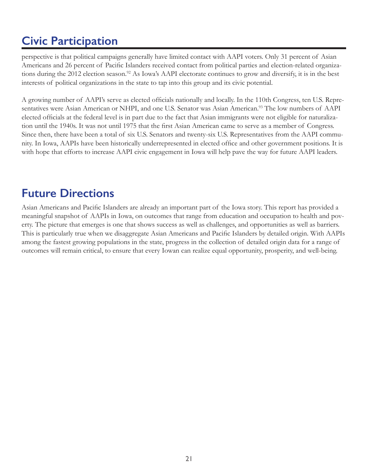# <span id="page-22-0"></span>**Civic Participation**

perspective is that political campaigns generally have limited contact with AAPI voters. Only 31 percent of Asian Americans and 26 percent of Pacific Islanders received contact from political parties and election-related organizations during the 2012 election season.<sup>92</sup> As Iowa's AAPI electorate continues to grow and diversify, it is in the best interests of political organizations in the state to tap into this group and its civic potential.

A growing number of AAPI's serve as elected officials nationally and locally. In the 110th Congress, ten U.S. Representatives were Asian American or NHPI, and one U.S. Senator was Asian American.<sup>93</sup> The low numbers of AAPI elected officials at the federal level is in part due to the fact that Asian immigrants were not eligible for naturalization until the 1940s. It was not until 1975 that the first Asian American came to serve as a member of Congress. Since then, there have been a total of six U.S. Senators and twenty-six U.S. Representatives from the AAPI community. In Iowa, AAPIs have been historically underrepresented in elected office and other government positions. It is with hope that efforts to increase AAPI civic engagement in Iowa will help pave the way for future AAPI leaders.

## **Future Directions**

Asian Americans and Pacific Islanders are already an important part of the Iowa story. This report has provided a meaningful snapshot of AAPIs in Iowa, on outcomes that range from education and occupation to health and poverty. The picture that emerges is one that shows success as well as challenges, and opportunities as well as barriers. This is particularly true when we disaggregate Asian Americans and Pacific Islanders by detailed origin. With AAPIs among the fastest growing populations in the state, progress in the collection of detailed origin data for a range of outcomes will remain critical, to ensure that every Iowan can realize equal opportunity, prosperity, and well-being.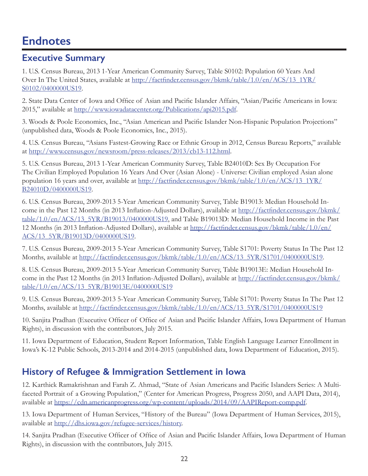### <span id="page-23-0"></span>**Executive Summary**

1. U.S. Census Bureau, 2013 1-Year American Community Survey, Table S0102: Population 60 Years And Over In The United States, available at [http://factfinder.census.gov/bkmk/table/1.0/en/ACS/13\\_1YR/](http://factfinder.census.gov/bkmk/table/1.0/en/ACS/13_1YR/S0102/0400000US19) [S0102/0400000US19.](http://factfinder.census.gov/bkmk/table/1.0/en/ACS/13_1YR/S0102/0400000US19)

2. State Data Center of Iowa and Office of Asian and Pacific Islander Affairs, "Asian/Pacific Americans in Iowa: 2015," available at <http://www.iowadatacenter.org/Publications/api2015.pdf>.

3. Woods & Poole Economics, Inc., "Asian American and Pacific Islander Non-Hispanic Population Projections" (unpublished data, Woods & Poole Economics, Inc., 2015).

4. U.S. Census Bureau, "Asians Fastest-Growing Race or Ethnic Group in 2012, Census Bureau Reports," available at <http://www.census.gov/newsroom/press-releases/2013/cb13-112.html>.

5. U.S. Census Bureau, 2013 1-Year American Community Survey, Table B24010D: Sex By Occupation For The Civilian Employed Population 16 Years And Over (Asian Alone) - Universe: Civilian employed Asian alone population 16 years and over, available at [http://factfinder.census.gov/bkmk/table/1.0/en/ACS/13\\_1YR/](http://factfinder.census.gov/bkmk/table/1.0/en/ACS/13_1YR/B24010D/0400000US19) [B24010D/0400000US19](http://factfinder.census.gov/bkmk/table/1.0/en/ACS/13_1YR/B24010D/0400000US19).

6. U.S. Census Bureau, 2009-2013 5-Year American Community Survey, Table B19013: Median Household Income in the Past 12 Months (in 2013 Inflation-Adjusted Dollars), available at [http://factfinder.census.gov/bkmk/](http://factfinder.census.gov/bkmk/table/1.0/en/ACS/13_5YR/B19013/0400000US19) [table/1.0/en/ACS/13\\_5YR/B19013/0400000US19,](http://factfinder.census.gov/bkmk/table/1.0/en/ACS/13_5YR/B19013/0400000US19) and Table B19013D: Median Household Income in the Past 12 Months (in 2013 Inflation-Adjusted Dollars), available at [http://factfinder.census.gov/bkmk/table/1.0/en/](http://factfinder.census.gov/bkmk/table/1.0/en/ACS/13_5YR/B19013D/0400000US19) [ACS/13\\_5YR/B19013D/0400000US19](http://factfinder.census.gov/bkmk/table/1.0/en/ACS/13_5YR/B19013D/0400000US19).

7. U.S. Census Bureau, 2009-2013 5-Year American Community Survey, Table S1701: Poverty Status In The Past 12 Months, available at [http://factfinder.census.gov/bkmk/table/1.0/en/ACS/13\\_5YR/S1701/0400000US19](http://factfinder.census.gov/bkmk/table/1.0/en/ACS/13_5YR/S1701/0400000US19).

8. U.S. Census Bureau, 2009-2013 5-Year American Community Survey, Table B19013E: Median Household Income in the Past 12 Months (in 2013 Inflation-Adjusted Dollars), available at [http://factfinder.census.gov/bkmk/](http://factfinder.census.gov/bkmk/table/1.0/en/ACS/13_5YR/B19013E/0400000US19) [table/1.0/en/ACS/13\\_5YR/B19013E/0400000US19](http://factfinder.census.gov/bkmk/table/1.0/en/ACS/13_5YR/B19013E/0400000US19)

9. U.S. Census Bureau, 2009-2013 5-Year American Community Survey, Table S1701: Poverty Status In The Past 12 Months, available at [http://factfinder.census.gov/bkmk/table/1.0/en/ACS/13\\_5YR/S1701/0400000US19](http://factfinder.census.gov/bkmk/table/1.0/en/ACS/13_5YR/S1701/0400000US19)

10. Sanjita Pradhan (Executive Officer of Office of Asian and Pacific Islander Affairs, Iowa Department of Human Rights), in discussion with the contributors, July 2015.

11. Iowa Department of Education, Student Report Information, Table English Language Learner Enrollment in Iowa's K-12 Public Schools, 2013-2014 and 2014-2015 (unpublished data, Iowa Department of Education, 2015).

### **History of Refugee & Immigration Settlement in Iowa**

12. Karthick Ramakrishnan and Farah Z. Ahmad, "State of Asian Americans and Pacific Islanders Series: A Multifaceted Portrait of a Growing Population," (Center for American Progress, Progress 2050, and AAPI Data, 2014), available at [https://cdn.americanprogress.org/wp-content/uploads/2014/09/AAPIReport-comp.pdf.](https://cdn.americanprogress.org/wp-content/uploads/2014/09/AAPIReport-comp.pdf)

13. Iowa Department of Human Services, "History of the Bureau" (Iowa Department of Human Services, 2015), available at [http://dhs.iowa.gov/refugee-services/history.](http://dhs.iowa.gov/refugee-services/history)

14. Sanjita Pradhan (Executive Officer of Office of Asian and Pacific Islander Affairs, Iowa Department of Human Rights), in discussion with the contributors, July 2015.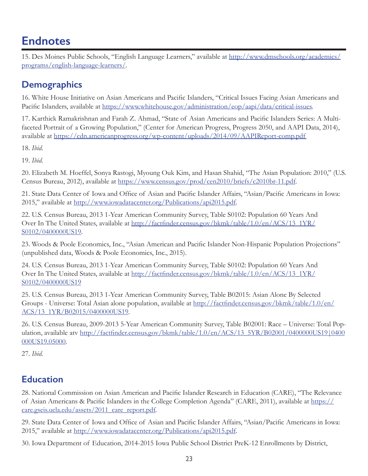15. Des Moines Public Schools, "English Language Learners," available at [http://www.dmschools.org/academics/](http://www.dmschools.org/academics/programs/english) [programs/english-](http://www.dmschools.org/academics/programs/english)language-learners/.

### **Demographics**

16. White House Initiative on Asian Americans and Pacific Islanders, "Critical Issues Facing Asian Americans and Pacific Islanders, available at [https://www.whitehouse.gov/administration/eop/aapi/data/critical-](https://www.whitehouse.gov/administration/eop/aapi/data/critical)issues.

17. Karthick Ramakrishnan and Farah Z. Ahmad, "State of Asian Americans and Pacific Islanders Series: A Multifaceted Portrait of a Growing Population," (Center for American Progress, Progress 2050, and AAPI Data, 2014), available at https://cdn.americanprogress.org/wp-content/uploads/2014/09/AAPIReport-comp.pdf

18. *Ibid.*

19. *Ibid.*

20. Elizabeth M. Hoeffel, Sonya Rastogi, Myoung Ouk Kim, and Hasan Shahid, "The Asian Population: 2010," (U.S. Census Bureau, 2012), available at <https://www.census.gov/prod/cen2010/briefs/c2010br-11.pdf>.

21. State Data Center of Iowa and Office of Asian and Pacific Islander Affairs, "Asian/Pacific Americans in Iowa: 2015," available at <http://www.iowadatacenter.org/Publications/api2015.pdf>.

22. U.S. Census Bureau, 2013 1-Year American Community Survey, Table S0102: Population 60 Years And Over In The United States, available at [http://factfinder.census.gov/bkmk/table/1.0/en/ACS/13\\_1YR/](http://factfinder.census.gov/bkmk/table/1.0/en/ACS/13_1YR/S0102/0400000US19) [S0102/0400000US19](http://factfinder.census.gov/bkmk/table/1.0/en/ACS/13_1YR/S0102/0400000US19).

23. Woods & Poole Economics, Inc., "Asian American and Pacific Islander Non-Hispanic Population Projections" (unpublished data, Woods & Poole Economics, Inc., 2015).

24. U.S. Census Bureau, 2013 1-Year American Community Survey, Table S0102: Population 60 Years And Over In The United States, available at [http://factfinder.census.gov/bkmk/table/1.0/en/ACS/13\\_1YR/](http://factfinder.census.gov/bkmk/table/1.0/en/ACS/13_1YR/S0102/0400000US19) [S0102/0400000US19](http://factfinder.census.gov/bkmk/table/1.0/en/ACS/13_1YR/S0102/0400000US19)

25. U.S. Census Bureau, 2013 1-Year American Community Survey, Table B02015: Asian Alone By Selected Groups - Universe: Total Asian alone population, available at [http://factfinder.census.gov/bkmk/table/1.0/en/](http://factfinder.census.gov/bkmk/table/1.0/en/ACS/13_1YR/B02015/0400000US19) [ACS/13\\_1YR/B02015/0400000US19](http://factfinder.census.gov/bkmk/table/1.0/en/ACS/13_1YR/B02015/0400000US19).

26. U.S. Census Bureau, 2009-2013 5-Year American Community Survey, Table B02001: Race – Universe: Total Population, available atv [http://factfinder.census.gov/bkmk/table/1.0/en/ACS/13\\_5YR/B02001/0400000US19](http://factfinder.census.gov/bkmk/table/1.0/en/ACS/13_5YR/B02001/0400000US19)|0400 000US19.05000.

27. *Ibid*.

### **Education**

28. National Commission on Asian American and Pacific Islander Research in Education (CARE), "The Relevance of Asian Americans & Pacific Islanders in the College Completion Agenda" (CARE, 2011), available at [https://](https://care.gseis.ucla.edu/assets/2011_care_report.pdf) [care.gseis.ucla.edu/assets/2011\\_care\\_report.pdf](https://care.gseis.ucla.edu/assets/2011_care_report.pdf).

29. State Data Center of Iowa and Office of Asian and Pacific Islander Affairs, "Asian/Pacific Americans in Iowa: 2015," available at <http://www.iowadatacenter.org/Publications/api2015.pdf>.

30. Iowa Department of Education, 2014-2015 Iowa Public School District PreK-12 Enrollments by District,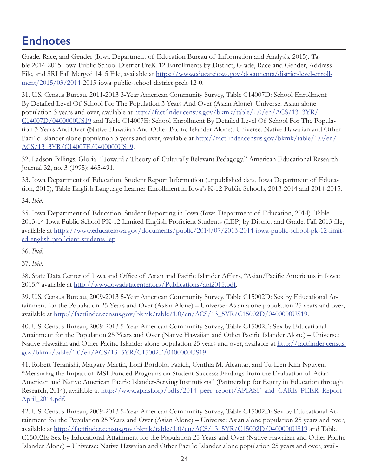Grade, Race, and Gender (Iowa Department of Education Bureau of Information and Analysis, 2015), Table 2014-2015 Iowa Public School District PreK-12 Enrollments by District, Grade, Race and Gender, Address File, and SRI Fall Merged 1415 File, available at [https://www.educateiowa.gov/documents/district-level-enroll](https://www.educateiowa.gov/documents/district-level-enrollment/2015/03/2014)[ment/2015/03/2014](https://www.educateiowa.gov/documents/district-level-enrollment/2015/03/2014)-2015-iowa-public-school-district-prek-12-0.

31. U.S. Census Bureau, 2011-2013 3-Year American Community Survey, Table C14007D: School Enrollment By Detailed Level Of School For The Population 3 Years And Over (Asian Alone). Universe: Asian alone population 3 years and over, available at [http://factfinder.census.gov/bkmk/table/1.0/en/ACS/13\\_3YR/](http://factfinder.census.gov/bkmk/table/1.0/en/ACS/13_3YR/C14007D/0400000US19) [C14007D/0400000US19](http://factfinder.census.gov/bkmk/table/1.0/en/ACS/13_3YR/C14007D/0400000US19) and Table C14007E: School Enrollment By Detailed Level Of School For The Population 3 Years And Over (Native Hawaiian And Other Pacific Islander Alone). Universe: Native Hawaiian and Other Pacific Islander alone population 3 years and over, available at [http://factfinder.census.gov/bkmk/table/1.0/en/](http://factfinder.census.gov/bkmk/table/1.0/en/ACS/13_3YR/C14007E/0400000US19) [ACS/13\\_3YR/C14007E/0400000US19](http://factfinder.census.gov/bkmk/table/1.0/en/ACS/13_3YR/C14007E/0400000US19).

32. Ladson-Billings, Gloria. "Toward a Theory of Culturally Relevant Pedagogy." American Educational Research Journal 32, no. 3 (1995): 465-491.

33. Iowa Department of Education, Student Report Information (unpublished data, Iowa Department of Education, 2015), Table English Language Learner Enrollment in Iowa's K-12 Public Schools, 2013-2014 and 2014-2015.

34. *Ibid*.

35. Iowa Department of Education, Student Reporting in Iowa (Iowa Department of Education, 2014), Table 2013-14 Iowa Public School PK-12 Limited English Proficient Students (LEP) by District and Grade. Fall 2013 file, available at [https://www.educateiowa.gov/documents/public/2014/07/2013-]( https://www.educateiowa.gov/documents/public/2014/07/2013-2014-iowa-public-school-pk-12-limited-english-proficient-students-lep)2014-iowa-public-school-pk-12-limited-english-proficient-students-lep.

36. *Ibid*.

37. *Ibid*.

38. State Data Center of Iowa and Office of Asian and Pacific Islander Affairs, "Asian/Pacific Americans in Iowa: 2015," available at <http://www.iowadatacenter.org/Publications/api2015.pdf>.

39. U.S. Census Bureau, 2009-2013 5-Year American Community Survey, Table C15002D: Sex by Educational Attainment for the Population 25 Years and Over (Asian Alone) – Universe: Asian alone population 25 years and over, available at [http://factfinder.census.gov/bkmk/table/1.0/en/ACS/13\\_5YR/C15002D/0400000US19](http://factfinder.census.gov/bkmk/table/1.0/en/ACS/13_5YR/C15002D/0400000US19).

40. U.S. Census Bureau, 2009-2013 5-Year American Community Survey, Table C15002E: Sex by Educational Attainment for the Population 25 Years and Over (Native Hawaiian and Other Pacific Islander Alone) – Universe: Native Hawaiian and Other Pacific Islander alone population 25 years and over, available at [http://factfinder.census.](http://factfinder.census.gov/bkmk/table/1.0/en/ACS/13_5YR/C15002E/0400000US19) [gov/bkmk/table/1.0/en/ACS/13\\_5YR/C15002E/0400000US19](http://factfinder.census.gov/bkmk/table/1.0/en/ACS/13_5YR/C15002E/0400000US19).

41. Robert Teranishi, Margary Martin, Loni Bordoloi Pazich, Cynthia M. Alcantar, and Tu-Lien Kim Nguyen, "Measuring the Impact of MSI-Funded Programs on Student Success: Findings from the Evaluation of Asian American and Native American Pacific Islander-Serving Institutions" (Partnership for Equity in Education through Research, 2014), available at [http://www.apiasf.org/pdfs/2014\\_peer\\_report/APIASF\\_and\\_CARE\\_PEER\\_Report\\_](http://www.apiasf.org/pdfs/2014_peer_report/APIASF_and_CARE_PEER_Report_April_2014.pdf) [April\\_2014.pdf](http://www.apiasf.org/pdfs/2014_peer_report/APIASF_and_CARE_PEER_Report_April_2014.pdf).

42. U.S. Census Bureau, 2009-2013 5-Year American Community Survey, Table C15002D: Sex by Educational Attainment for the Population 25 Years and Over (Asian Alone) – Universe: Asian alone population 25 years and over, available at [http://factfinder.census.gov/bkmk/table/1.0/en/ACS/13\\_5YR/C15002D/0400000US19](http://factfinder.census.gov/bkmk/table/1.0/en/ACS/13_5YR/C15002D/0400000US19) and Table C15002E: Sex by Educational Attainment for the Population 25 Years and Over (Native Hawaiian and Other Pacific Islander Alone) – Universe: Native Hawaiian and Other Pacific Islander alone population 25 years and over, avail-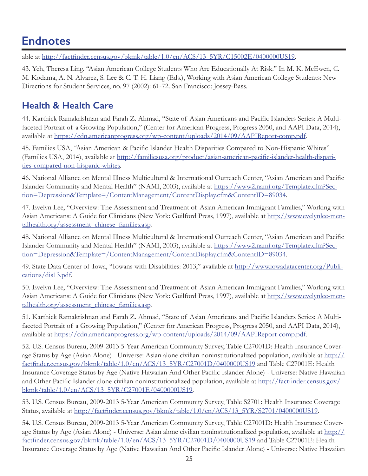able at [http://factfinder.census.gov/bkmk/table/1.0/en/ACS/13\\_5YR/C15002E/0400000US19](http://factfinder.census.gov/bkmk/table/1.0/en/ACS/13_5YR/C15002E/0400000US19).

43. Yeh, Theresa Ling. "Asian American College Students Who Are Educationally At Risk." In M. K. McEwen, C. M. Kodama, A. N. Alvarez, S. Lee & C. T. H. Liang (Eds.), Working with Asian American College Students: New Directions for Student Services, no. 97 (2002): 61-72. San Francisco: Jossey-Bass.

### **Health & Health Care**

44. Karthick Ramakrishnan and Farah Z. Ahmad, "State of Asian Americans and Pacific Islanders Series: A Multifaceted Portrait of a Growing Population," (Center for American Progress, Progress 2050, and AAPI Data, 2014), available at [https://cdn.americanprogress.org/wp-content/uploads/2014/09/AAPIReport-comp.pdf.](https://cdn.americanprogress.org/wp-content/uploads/2014/09/AAPIReport-comp.pdf)

45. Families USA, "Asian American & Pacific Islander Health Disparities Compared to Non-Hispanic Whites" (Families USA, 2014), available at [http://familiesusa.org/product/asian](http://familiesusa.org/product/asian-american-pacific-islander-health-disparities-compared-non-hispanic-whites)[-american-pacific-islander-health-dispari](http://familiesusa.org/product/asian-american-pacific-islander-health-disparities-compared-non-hispanic-whites)[ties-compared-non-hispanic-whites](http://familiesusa.org/product/asian-american-pacific-islander-health-disparities-compared-non-hispanic-whites).

46. National Alliance on Mental Illness Multicultural & International Outreach Center, "Asian American and Pacific Islander Community and Mental Health" (NAMI, 2003), available at [https://www2.nami.org/Template.cfm?Sec](https://www2.nami.org/Template.cfm?Section=Depression&Template=/ContentManagement/ContentDisplay.cfm&ContentID=89034)[tion=Depression&Template=](https://www2.nami.org/Template.cfm?Section=Depression&Template=/ContentManagement/ContentDisplay.cfm&ContentID=89034)/ContentManagement/[ContentDisplay.cfm](https://www2.nami.org/Template.cfm?Section=Depression&Template=/ContentManagement/ContentDisplay.cfm&ContentID=89034)&ContentID=89034.

47. Evelyn Lee, "Overview: The Assessment and Treatment of Asian American Immigrant Families," Working with Asian Americans: A Guide for Clinicians (New York: Guilford Press, 1997), available at [http://www.evelynlee-men](http://www.evelynlee-mentalhealth.org/assessment_chinese_families.asp)[talhealth.org/assessment\\_chinese\\_families.asp](http://www.evelynlee-mentalhealth.org/assessment_chinese_families.asp).

48. National Alliance on Mental Illness Multicultural & International Outreach Center, "Asian American and Pacific Islander Community and Mental Health" (NAMI, 2003), available at [https://www2.nami.org/Template.cfm?Sec](https://www2.nami.org/Template.cfm?Section=Depression&Template=/ContentManagement/ContentDisplay.cfm&ContentID=89034)[tion=Depression&Template=](https://www2.nami.org/Template.cfm?Section=Depression&Template=/ContentManagement/ContentDisplay.cfm&ContentID=89034)/ContentManagement/[ContentDisplay.cfm](https://www2.nami.org/Template.cfm?Section=Depression&Template=/ContentManagement/ContentDisplay.cfm&ContentID=89034)[&ContentID=89034](https://www2.nami.org/Template.cfm?Section=Depression&Template=/ContentManagement/ContentDisplay.cfm&ContentID=89034).

49. State Data Center of Iowa, "Iowans with Disabilities: 2013," available at [http://www.iowadatacenter.org/Publi](http://www.iowadatacenter.org/Publications/dis13.pdf)[cations/dis13.pdf](http://www.iowadatacenter.org/Publications/dis13.pdf).

50. Evelyn Lee, "Overview: The Assessment and Treatment of Asian American Immigrant Families," Working with Asian Americans: A Guide for Clinicians (New York: Guilford Press, 1997), available at [http://www.evelynlee-men](http://www.evelynlee-mentalhealth.org/assessment_chinese_families.asp)[talhealth.org/assessment\\_chinese\\_families.asp](http://www.evelynlee-mentalhealth.org/assessment_chinese_families.asp).

51. Karthick Ramakrishnan and Farah Z. Ahmad, "State of Asian Americans and Pacific Islanders Series: A Multifaceted Portrait of a Growing Population," (Center for American Progress, Progress 2050, and AAPI Data, 2014), available at [https://cdn.americanprogress.org/wp-content/uploads/2014/09/AAPIReport-comp.pdf.](https://cdn.americanprogress.org/wp-content/uploads/2014/09/AAPIReport-comp.pdf)

52. U.S. Census Bureau, 2009-2013 5-Year American Community Survey, Table C27001D: Health Insurance Coverage Status by Age (Asian Alone) - Universe: Asian alone civilian noninstitutionalized population, available at [http://](http://factfinder.census.gov/bkmk/table/1.0/en/ACS/13_5YR/C27001D/0400000US19) [factfinder.census.gov/bkmk/table/1.0/en/ACS/13\\_5YR/C27001D/0400000US19](http://factfinder.census.gov/bkmk/table/1.0/en/ACS/13_5YR/C27001D/0400000US19) and Table C27001E: Health Insurance Coverage Status by Age (Native Hawaiian And Other Pacific Islander Alone) - Universe: Native Hawaiian and Other Pacific Islander alone civilian noninstitutionalized population, available at [http://factfinder.census.gov/](http://factfinder.census.gov/bkmk/table/1.0/en/ACS/13_5YR/C27001E/0400000US19) [bkmk/table/1.0/en/ACS/13\\_5YR/C27001E/0400000US19](http://factfinder.census.gov/bkmk/table/1.0/en/ACS/13_5YR/C27001E/0400000US19).

53. U.S. Census Bureau, 2009-2013 5-Year American Community Survey, Table S2701: Health Insurance Coverage Status, available at [http://factfinder.census.gov/bkmk/table/1.0/en/ACS/13\\_5YR/S2701/0400000US19](http://factfinder.census.gov/bkmk/table/1.0/en/ACS/13_5YR/S2701/0400000US19).

54. U.S. Census Bureau, 2009-2013 5-Year American Community Survey, Table C27001D: Health Insurance Coverage Status by Age (Asian Alone) - Universe: Asian alone civilian noninstitutionalized population, available at [http://](http://factfinder.census.gov/bkmk/table/1.0/en/ACS/13_5YR/C27001D/0400000US19) [factfinder.census.gov/bkmk/table/1.0/en/ACS/13\\_5YR/C27001D/0400000US19](http://factfinder.census.gov/bkmk/table/1.0/en/ACS/13_5YR/C27001D/0400000US19) and Table C27001E: Health Insurance Coverage Status by Age (Native Hawaiian And Other Pacific Islander Alone) - Universe: Native Hawaiian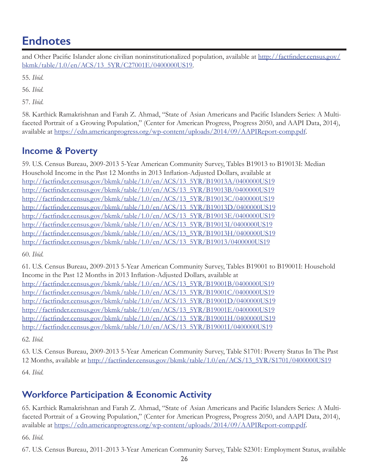and Other Pacific Islander alone civilian noninstitutionalized population, available at [http://factfinder.census.gov/](http://factfinder.census.gov/bkmk/table/1.0/en/ACS/13_5YR/C27001E/0400000US19) [bkmk/table/1.0/en/ACS/13\\_5YR/C27001E/0400000US19](http://factfinder.census.gov/bkmk/table/1.0/en/ACS/13_5YR/C27001E/0400000US19).

55. *Ibid*.

56. *Ibid*.

57. *Ibid*.

58. Karthick Ramakrishnan and Farah Z. Ahmad, "State of Asian Americans and Pacific Islanders Series: A Multifaceted Portrait of a Growing Population," (Center for American Progress, Progress 2050, and AAPI Data, 2014), available at [https://cdn.americanprogress.org/wp-content/uploads/2014/09/AAPIReport-comp.pdf.](https://cdn.americanprogress.org/wp-content/uploads/2014/09/AAPIReport-comp.pdf)

### **Income & Poverty**

59. U.S. Census Bureau, 2009-2013 5-Year American Community Survey, Tables B19013 to B19013I: Median Household Income in the Past 12 Months in 2013 Inflation-Adjusted Dollars, available at [http://factfinder.census.gov/bkmk/table/1.0/en/ACS/13\\_5YR/B19013A/0400000US19](http://factfinder.census.gov/bkmk/table/1.0/en/ACS/13_5YR/B19013A/0400000US19) [http://factfinder.census.gov/bkmk/table/1.0/en/ACS/13\\_5YR/B19013B/0400000US19](http://factfinder.census.gov/bkmk/table/1.0/en/ACS/13_5YR/B19013B/0400000US19) [http://factfinder.census.gov/bkmk/table/1.0/en/ACS/13\\_5YR/B19013C/0400000US19](http://factfinder.census.gov/bkmk/table/1.0/en/ACS/13_5YR/B19013C/0400000US19) [http://factfinder.census.gov/bkmk/table/1.0/en/ACS/13\\_5YR/B19013D/0400000US19](http://factfinder.census.gov/bkmk/table/1.0/en/ACS/13_5YR/B19013D/0400000US19) [http://factfinder.census.gov/bkmk/table/1.0/en/ACS/13\\_5YR/B19013E/0400000US19](http://factfinder.census.gov/bkmk/table/1.0/en/ACS/13_5YR/B19013E/0400000US19) [http://factfinder.census.gov/bkmk/table/1.0/en/ACS/13\\_5YR/B19013I/0400000US19](http://factfinder.census.gov/bkmk/table/1.0/en/ACS/13_5YR/B19013I/0400000US19) [http://factfinder.census.gov/bkmk/table/1.0/en/ACS/13\\_5YR/B19013H/0400000US19](http://factfinder.census.gov/bkmk/table/1.0/en/ACS/13_5YR/B19013H/0400000US19) [http://factfinder.census.gov/bkmk/table/1.0/en/ACS/13\\_5YR/B19013/0400000US19](http://factfinder.census.gov/bkmk/table/1.0/en/ACS/13_5YR/B19013/0400000US19)

60. *Ibid*.

61. U.S. Census Bureau, 2009-2013 5-Year American Community Survey, Tables B19001 to B19001I: Household Income in the Past 12 Months in 2013 Inflation-Adjusted Dollars, available at [http://factfinder.census.gov/bkmk/table/1.0/en/ACS/13\\_5YR/B19001B/0400000US19](http://factfinder.census.gov/bkmk/table/1.0/en/ACS/13_5YR/B19001B/0400000US19) [http://factfinder.census.gov/bkmk/table/1.0/en/ACS/13\\_5YR/B19001C/0400000US19](http://factfinder.census.gov/bkmk/table/1.0/en/ACS/13_5YR/B19001C/0400000US19) [http://factfinder.census.gov/bkmk/table/1.0/en/ACS/13\\_5YR/B19001D/0400000US19](http://factfinder.census.gov/bkmk/table/1.0/en/ACS/13_5YR/B19001D/0400000US19) [http://factfinder.census.gov/bkmk/table/1.0/en/ACS/13\\_5YR/B19001E/0400000US19](http://factfinder.census.gov/bkmk/table/1.0/en/ACS/13_5YR/B19001E/0400000US19) [http://factfinder.census.gov/bkmk/table/1.0/en/ACS/13\\_5YR/B19001H/0400000US19](http://factfinder.census.gov/bkmk/table/1.0/en/ACS/13_5YR/B19001H/0400000US19) [http://factfinder.census.gov/bkmk/table/1.0/en/ACS/13\\_5YR/B19001I/0400000US19](http://factfinder.census.gov/bkmk/table/1.0/en/ACS/13_5YR/B19001I/0400000US19)

62. *Ibid*.

63. U.S. Census Bureau, 2009-2013 5-Year American Community Survey, Table S1701: Poverty Status In The Past 12 Months, available at [http://factfinder.census.gov/bkmk/table/1.0/en/ACS/13\\_5YR/S1701/0400000US19](http://factfinder.census.gov/bkmk/table/1.0/en/ACS/13_5YR/S1701/0400000US19) 64. *Ibid*.

### **Workforce Participation & Economic Activity**

65. Karthick Ramakrishnan and Farah Z. Ahmad, "State of Asian Americans and Pacific Islanders Series: A Multifaceted Portrait of a Growing Population," (Center for American Progress, Progress 2050, and AAPI Data, 2014), available at [https://cdn.americanprogress.org/wp-content/uploads/2014/09/AAPIReport-comp.pdf.](https://cdn.americanprogress.org/wp-content/uploads/2014/09/AAPIReport-comp.pdf)

66. *Ibid*.

67. U.S. Census Bureau, 2011-2013 3-Year American Community Survey, Table S2301: Employment Status, available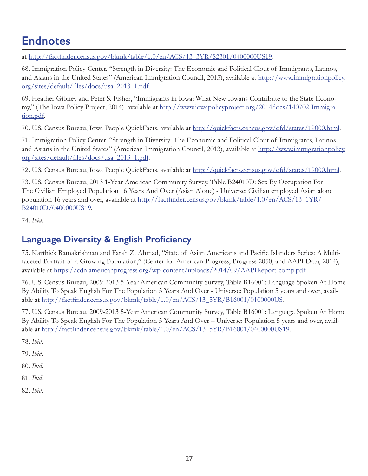at [http://factfinder.census.gov/bkmk/table/1.0/en/ACS/13\\_3YR/S2301/0400000US19](http://factfinder.census.gov/bkmk/table/1.0/en/ACS/13_3YR/S2301/0400000US19).

68. Immigration Policy Center, "Strength in Diversity: The Economic and Political Clout of Immigrants, Latinos, and Asians in the United States" (American Immigration Council, 2013), available at [http://www.immigrationpolicy.](http://www.immigrationpolicy.org/sites/default/files/docs/usa_2013_1.pdf) [org/sites/default/files/docs/usa\\_2013\\_1.pdf](http://www.immigrationpolicy.org/sites/default/files/docs/usa_2013_1.pdf).

69. Heather Gibney and Peter S. Fisher, "Immigrants in Iowa: What New Iowans Contribute to the State Economy," (The Iowa Policy Project, 2014), available at [http://www.iowapolicyproject.org/2014docs/140702-Immigra](http://www.iowapolicyproject.org/2014docs/140702-Immigration.pdf)[tion.pdf.](http://www.iowapolicyproject.org/2014docs/140702-Immigration.pdf)

70. U.S. Census Bureau, Iowa People QuickFacts, available at <http://quickfacts.census.gov/qfd/states/19000.html>.

71. Immigration Policy Center, "Strength in Diversity: The Economic and Political Clout of Immigrants, Latinos, and Asians in the United States" (American Immigration Council, 2013), available at [http://www.immigrationpolicy.](http://www.immigrationpolicy.org/sites/default/files/docs/usa_2013_1.pdf) [org/sites/default/files/docs/usa\\_2013\\_1.pdf](http://www.immigrationpolicy.org/sites/default/files/docs/usa_2013_1.pdf).

72. U.S. Census Bureau, Iowa People QuickFacts, available at <http://quickfacts.census.gov/qfd/states/19000.html>.

73. U.S. Census Bureau, 2013 1-Year American Community Survey, Table B24010D: Sex By Occupation For The Civilian Employed Population 16 Years And Over (Asian Alone) - Universe: Civilian employed Asian alone population 16 years and over, available at [http://factfinder.census.gov/bkmk/table/1.0/en/ACS/13\\_1YR/](http://quickfacts.census.gov/qfd/states/19000.html) [B24010D/0400000US19](http://quickfacts.census.gov/qfd/states/19000.html)*.*

74. *Ibid*.

### **Language Diversity & English Proficiency**

75. Karthick Ramakrishnan and Farah Z. Ahmad, "State of Asian Americans and Pacific Islanders Series: A Multifaceted Portrait of a Growing Population," (Center for American Progress, Progress 2050, and AAPI Data, 2014), available at <https://cdn.americanprogress.org/wp-content/uploads/2014/09/AAPIReport-comp.pdf>.

76. U.S. Census Bureau, 2009-2013 5-Year American Community Survey, Table B16001: Language Spoken At Home By Ability To Speak English For The Population 5 Years And Over - Universe: Population 5 years and over, available at [http://factfinder.census.gov/bkmk/table/1.0/en/ACS/13\\_5YR/B16001/0100000US](http://factfinder.census.gov/bkmk/table/1.0/en/ACS/13_5YR/B16001/0100000US).

77. U.S. Census Bureau, 2009-2013 5-Year American Community Survey, Table B16001: Language Spoken At Home By Ability To Speak English For The Population 5 Years And Over – Universe: Population 5 years and over, available at [http://factfinder.census.gov/bkmk/table/1.0/en/ACS/13\\_5YR/B16001/0400000US19](http://factfinder.census.gov/bkmk/table/1.0/en/ACS/13_5YR/B16001/0400000US19).

78. *Ibid*.

79. *Ibid*.

80. *Ibid*.

81. *Ibid*.

82. *Ibid*.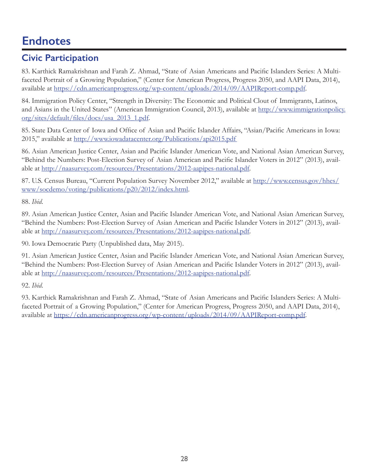### **Civic Participation**

83. Karthick Ramakrishnan and Farah Z. Ahmad, "State of Asian Americans and Pacific Islanders Series: A Multifaceted Portrait of a Growing Population," (Center for American Progress, Progress 2050, and AAPI Data, 2014), available at <https://cdn.americanprogress.org/wp-content/uploads/2014/09/AAPIReport-comp.pdf>.

84. Immigration Policy Center, "Strength in Diversity: The Economic and Political Clout of Immigrants, Latinos, and Asians in the United States" (American Immigration Council, 2013), available at [http://www.immigrationpolicy.](http://www.immigrationpolicy.org/sites/default/files/docs/usa_2013_1.pdf) [org/sites/default/files/docs/usa\\_2013\\_1.pdf](http://www.immigrationpolicy.org/sites/default/files/docs/usa_2013_1.pdf).

85. State Data Center of Iowa and Office of Asian and Pacific Islander Affairs, "Asian/Pacific Americans in Iowa: 2015," available at <http://www.iowadatacenter.org/Publications/api2015.pdf>

86. Asian American Justice Center, Asian and Pacific Islander American Vote, and National Asian American Survey, "Behind the Numbers: Post-Election Survey of Asian American and Pacific Islander Voters in 2012" (2013), available at [http://naasurvey.com/resources/Presentations/2012-aapipes-national.pdf.](http://naasurvey.com/resources/Presentations/2012-aapipes-national.pdf)

87. U.S. Census Bureau, "Current Population Survey November 2012," available at [http://www.census.gov/hhes/](http://www.census.gov/hhes/www/socdemo/voting/publications/p20/2012/index.html) [www/socdemo/voting/publications/p20/2012/index.html](http://www.census.gov/hhes/www/socdemo/voting/publications/p20/2012/index.html).

88. *Ibid*.

89. Asian American Justice Center, Asian and Pacific Islander American Vote, and National Asian American Survey, "Behind the Numbers: Post-Election Survey of Asian American and Pacific Islander Voters in 2012" (2013), available at [http://naasurvey.com/resources/Presentations/2012-aapipes-national.pdf.](http://naasurvey.com/resources/Presentations/2012-aapipes-national.pdf)

90. Iowa Democratic Party (Unpublished data, May 2015).

91. Asian American Justice Center, Asian and Pacific Islander American Vote, and National Asian American Survey, "Behind the Numbers: Post-Election Survey of Asian American and Pacific Islander Voters in 2012" (2013), available at [http://naasurvey.com/resources/Presentations/2012-aapipes-national.pdf.](http://naasurvey.com/resources/Presentations/2012-aapipes-national.pdf)

92. *Ibid*.

93. Karthick Ramakrishnan and Farah Z. Ahmad, "State of Asian Americans and Pacific Islanders Series: A Multifaceted Portrait of a Growing Population," (Center for American Progress, Progress 2050, and AAPI Data, 2014), available at <https://cdn.americanprogress.org/wp-content/uploads/2014/09/AAPIReport-comp.pdf>.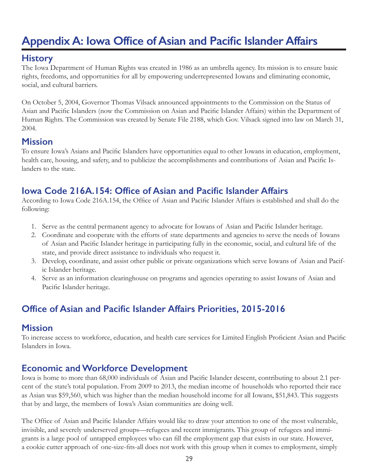# <span id="page-30-0"></span>**Appendix A: Iowa Office of Asian and Pacific Islander Affairs**

### **History**

The Iowa Department of Human Rights was created in 1986 as an umbrella agency. Its mission is to ensure basic rights, freedoms, and opportunities for all by empowering underrepresented Iowans and eliminating economic, social, and cultural barriers.

On October 5, 2004, Governor Thomas Vilsack announced appointments to the Commission on the Status of Asian and Pacific Islanders (now the Commission on Asian and Pacific Islander Affairs) within the Department of Human Rights. The Commission was created by Senate File 2188, which Gov. Vilsack signed into law on March 31, 2004.

### **Mission**

To ensure Iowa's Asians and Pacific Islanders have opportunities equal to other Iowans in education, employment, health care, housing, and safety, and to publicize the accomplishments and contributions of Asian and Pacific Islanders to the state.

### **Iowa Code 216A.154: Office of Asian and Pacific Islander Affairs**

According to Iowa Code 216A.154, the Office of Asian and Pacific Islander Affairs is established and shall do the following:

- 1. Serve as the central permanent agency to advocate for Iowans of Asian and Pacific Islander heritage.
- 2. Coordinate and cooperate with the efforts of state departments and agencies to serve the needs of Iowans of Asian and Pacific Islander heritage in participating fully in the economic, social, and cultural life of the state, and provide direct assistance to individuals who request it.
- 3. Develop, coordinate, and assist other public or private organizations which serve Iowans of Asian and Pacific Islander heritage.
- 4. Serve as an information clearinghouse on programs and agencies operating to assist Iowans of Asian and Pacific Islander heritage.

### **Office of Asian and Pacific Islander Affairs Priorities, 2015-2016**

### **Mission**

To increase access to workforce, education, and health care services for Limited English Proficient Asian and Pacific Islanders in Iowa.

### **Economic and Workforce Development**

Iowa is home to more than 68,000 individuals of Asian and Pacific Islander descent, contributing to about 2.1 percent of the state's total population. From 2009 to 2013, the median income of households who reported their race as Asian was \$59,560, which was higher than the median household income for all Iowans, \$51,843. This suggests that by and large, the members of Iowa's Asian communities are doing well.

The Office of Asian and Pacific Islander Affairs would like to draw your attention to one of the most vulnerable, invisible, and severely underserved groups—refugees and recent immigrants. This group of refugees and immigrants is a large pool of untapped employees who can fill the employment gap that exists in our state. However, a cookie cutter approach of one-size-fits-all does not work with this group when it comes to employment, simply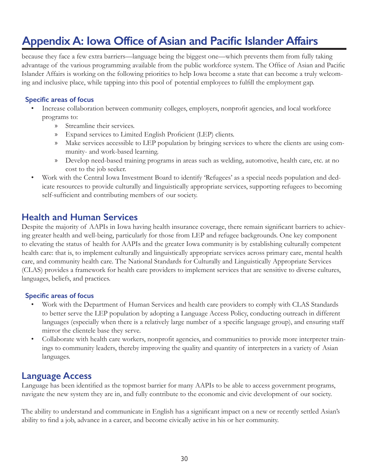# **Appendix A: Iowa Office of Asian and Pacific Islander Affairs**

because they face a few extra barriers—language being the biggest one—which prevents them from fully taking advantage of the various programming available from the public workforce system. The Office of Asian and Pacific Islander Affairs is working on the following priorities to help Iowa become a state that can become a truly welcoming and inclusive place, while tapping into this pool of potential employees to fulfill the employment gap.

#### **Specific areas of focus**

- Increase collaboration between community colleges, employers, nonprofit agencies, and local workforce programs to:
	- » Streamline their services.
	- » Expand services to Limited English Proficient (LEP) clients.
	- » Make services accessible to LEP population by bringing services to where the clients are using community- and work-based learning.
	- » Develop need-based training programs in areas such as welding, automotive, health care, etc. at no cost to the job seeker.
- Work with the Central Iowa Investment Board to identify 'Refugees' as a special needs population and dedicate resources to provide culturally and linguistically appropriate services, supporting refugees to becoming self-sufficient and contributing members of our society.

### **Health and Human Services**

Despite the majority of AAPIs in Iowa having health insurance coverage, there remain significant barriers to achieving greater health and well-being, particularly for those from LEP and refugee backgrounds. One key component to elevating the status of health for AAPIs and the greater Iowa community is by establishing culturally competent health care: that is, to implement culturally and linguistically appropriate services across primary care, mental health care, and community health care. The National Standards for Culturally and Linguistically Appropriate Services (CLAS) provides a framework for health care providers to implement services that are sensitive to diverse cultures, languages, beliefs, and practices.

#### **Specific areas of focus**

- Work with the Department of Human Services and health care providers to comply with CLAS Standards to better serve the LEP population by adopting a Language Access Policy, conducting outreach in different languages (especially when there is a relatively large number of a specific language group), and ensuring staff mirror the clientele base they serve.
- Collaborate with health care workers, nonprofit agencies, and communities to provide more interpreter trainings to community leaders, thereby improving the quality and quantity of interpreters in a variety of Asian languages.

### **Language Access**

Language has been identified as the topmost barrier for many AAPIs to be able to access government programs, navigate the new system they are in, and fully contribute to the economic and civic development of our society.

The ability to understand and communicate in English has a significant impact on a new or recently settled Asian's ability to find a job, advance in a career, and become civically active in his or her community.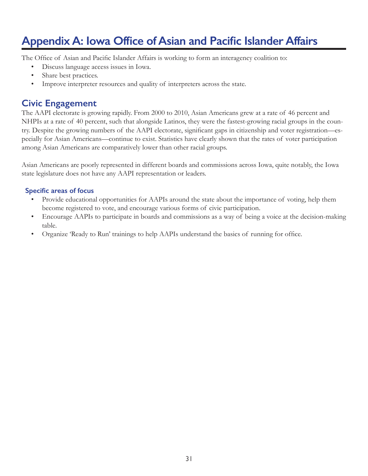# **Appendix A: Iowa Office of Asian and Pacific Islander Affairs**

The Office of Asian and Pacific Islander Affairs is working to form an interagency coalition to:

- Discuss language access issues in Iowa.
- Share best practices.
- Improve interpreter resources and quality of interpreters across the state.

### **Civic Engagement**

The AAPI electorate is growing rapidly. From 2000 to 2010, Asian Americans grew at a rate of 46 percent and NHPIs at a rate of 40 percent, such that alongside Latinos, they were the fastest-growing racial groups in the country. Despite the growing numbers of the AAPI electorate, significant gaps in citizenship and voter registration—especially for Asian Americans—continue to exist. Statistics have clearly shown that the rates of voter participation among Asian Americans are comparatively lower than other racial groups.

Asian Americans are poorly represented in different boards and commissions across Iowa, quite notably, the Iowa state legislature does not have any AAPI representation or leaders.

#### **Specific areas of focus**

- Provide educational opportunities for AAPIs around the state about the importance of voting, help them become registered to vote, and encourage various forms of civic participation.
- Encourage AAPIs to participate in boards and commissions as a way of being a voice at the decision-making table.
- Organize 'Ready to Run' trainings to help AAPIs understand the basics of running for office.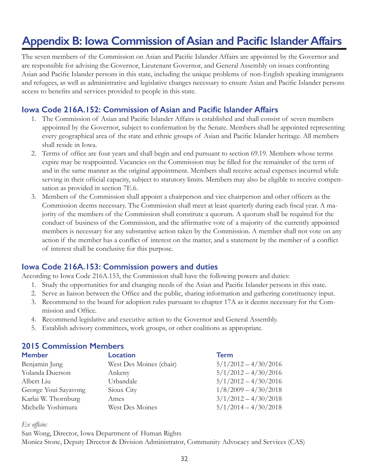# <span id="page-33-0"></span>**Appendix B: Iowa Commission of Asian and Pacific Islander Affairs**

The seven members of the Commission on Asian and Pacific Islander Affairs are appointed by the Governor and are responsible for advising the Governor, Lieutenant Governor, and General Assembly on issues confronting Asian and Pacific Islander persons in this state, including the unique problems of non-English speaking immigrants and refugees, as well as administrative and legislative changes necessary to ensure Asian and Pacific Islander persons access to benefits and services provided to people in this state.

#### **Iowa Code 216A.152: Commission of Asian and Pacific Islander Affairs**

- 1. The Commission of Asian and Pacific Islander Affairs is established and shall consist of seven members appointed by the Governor, subject to confirmation by the Senate. Members shall be appointed representing every geographical area of the state and ethnic groups of Asian and Pacific Islander heritage. All members shall reside in Iowa.
- 2. Terms of office are four years and shall begin and end pursuant to section 69.19. Members whose terms expire may be reappointed. Vacancies on the Commission may be filled for the remainder of the term of and in the same manner as the original appointment. Members shall receive actual expenses incurred while serving in their official capacity, subject to statutory limits. Members may also be eligible to receive compensation as provided in section 7E.6.
- 3. Members of the Commission shall appoint a chairperson and vice chairperson and other officers as the Commission deems necessary. The Commission shall meet at least quarterly during each fiscal year. A majority of the members of the Commission shall constitute a quorum. A quorum shall be required for the conduct of business of the Commission, and the affirmative vote of a majority of the currently appointed members is necessary for any substantive action taken by the Commission. A member shall not vote on any action if the member has a conflict of interest on the matter, and a statement by the member of a conflict of interest shall be conclusive for this purpose.

#### **Iowa Code 216A.153: Commission powers and duties**

According to Iowa Code 216A.153, the Commission shall have the following powers and duties:

- 1. Study the opportunities for and changing needs of the Asian and Pacific Islander persons in this state.
- 2. Serve as liaison between the Office and the public, sharing information and gathering constituency input.
- 3. Recommend to the board for adoption rules pursuant to chapter 17A as it deems necessary for the Com mission and Office.
- 4. Recommend legislative and executive action to the Governor and General Assembly.
- 5. Establish advisory committees, work groups, or other coalitions as appropriate.

#### **2015 Commission Members**

| <b>Member</b>        | <b>Location</b>         | <b>Term</b>            |
|----------------------|-------------------------|------------------------|
| Benjamin Jung        | West Des Moines (chair) | $5/1/2012 - 4/30/2016$ |
| Yolanda Duerson      | Ankeny                  | $5/1/2012 - 4/30/2016$ |
| Albert Liu           | Urbandale               | $5/1/2012 - 4/30/2016$ |
| George Youi Sayavong | Sioux City              | $1/8/2009 - 4/30/2018$ |
| Karlai W. Thornburg  | Ames                    | $3/1/2012 - 4/30/2018$ |
| Michelle Yoshimura   | <b>West Des Moines</b>  | $5/1/2014 - 4/30/2018$ |

#### *Ex officio:*

San Wong, Director, Iowa Department of Human Rights Monica Stone, Deputy Director & Division Administrator, Community Advocacy and Services (CAS)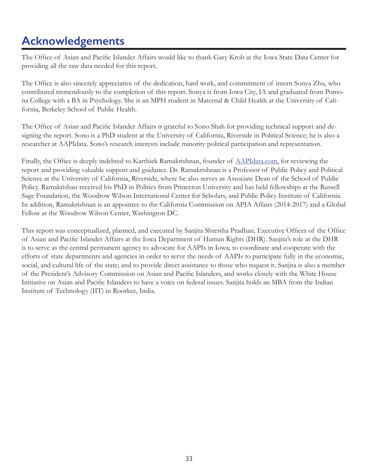# <span id="page-34-0"></span>**Acknowledgements**

The Office of Asian and Pacific Islander Affairs would like to thank Gary Krob at the Iowa State Data Center for providing all the raw data needed for this report.

The Office is also sincerely appreciative of the dedication, hard work, and commitment of intern Sonya Zhu, who contributed tremendously to the completion of this report. Sonya is from Iowa City, IA and graduated from Pomona College with a BA in Psychology. She is an MPH student in Maternal & Child Health at the University of California, Berkeley School of Public Health.

The Office of Asian and Pacific Islander Affairs is grateful to Sono Shah for providing technical support and designing the report. Sono is a PhD student at the University of California, Riverside in Political Science; he is also a researcher at AAPIdata. Sono's research interests include minority political participation and representation.

Finally, the Office is deeply indebted to Karthick Ramakrishnan, founder of <AAPIdata.com>, for reviewing the report and providing valuable support and guidance. Dr. Ramakrishnan is a Professor of Public Policy and Political Science at the University of California, Riverside, where he also serves as Associate Dean of the School of Public Policy. Ramakrishan received his PhD in Politics from Princeton University and has held fellowships at the Russell Sage Foundation, the Woodrow Wilson International Center for Scholars, and Public Policy Institute of California. In addition, Ramakrishnan is an appointee to the California Commission on APIA Affairs (2014-2017) and a Global Fellow at the Woodrow Wilson Center, Washington DC.

This report was conceptualized, planned, and executed by Sanjita Shrestha Pradhan, Executive Officer of the Office of Asian and Pacific Islander Affairs at the Iowa Department of Human Rights (DHR). Sanjita's role at the DHR is to serve as the central permanent agency to advocate for AAPIs in Iowa; to coordinate and cooperate with the efforts of state departments and agencies in order to serve the needs of AAPIs to participate fully in the economic, social, and cultural life of the state; and to provide direct assistance to those who request it. Sanjita is also a member of the President's Advisory Commission on Asian and Pacific Islanders, and works closely with the White House Initiative on Asian and Pacific Islanders to have a voice on federal issues. Sanjita holds an MBA from the Indian Institute of Technology (IIT) in Roorkee, India.